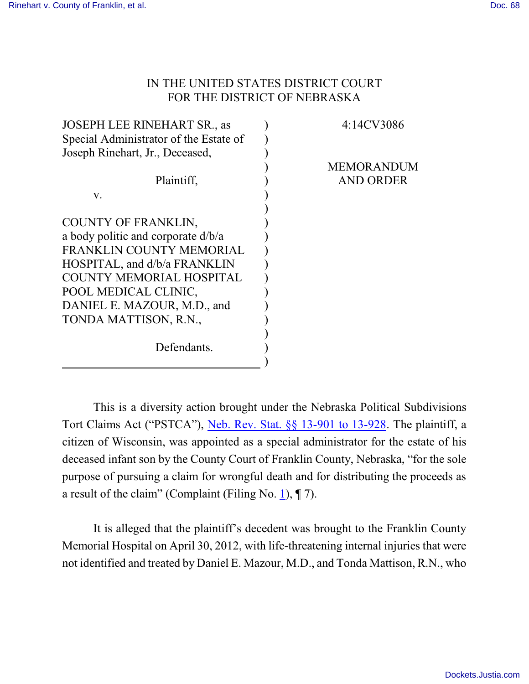## IN THE UNITED STATES DISTRICT COURT FOR THE DISTRICT OF NEBRASKA

| <b>JOSEPH LEE RINEHART SR., as</b>     | 4:14CV3086        |
|----------------------------------------|-------------------|
| Special Administrator of the Estate of |                   |
| Joseph Rinehart, Jr., Deceased,        |                   |
|                                        | <b>MEMORANDUM</b> |
| Plaintiff,                             | <b>AND ORDER</b>  |
| V.                                     |                   |
|                                        |                   |
| COUNTY OF FRANKLIN,                    |                   |
| a body politic and corporate d/b/a     |                   |
| FRANKLIN COUNTY MEMORIAL               |                   |
| HOSPITAL, and d/b/a FRANKLIN           |                   |
| <b>COUNTY MEMORIAL HOSPITAL</b>        |                   |
| POOL MEDICAL CLINIC,                   |                   |
| DANIEL E. MAZOUR, M.D., and            |                   |
| TONDA MATTISON, R.N.,                  |                   |
|                                        |                   |
| Defendants.                            |                   |
|                                        |                   |

This is a diversity action brought under the Nebraska Political Subdivisions Tort Claims Act ("PSTCA"), [Neb. Rev. Stat. §§ 13-901 to 13-928](http://web2.westlaw.com/find/default.wl?cite=nestat13-901&rs=WLW15.01&vr=2.0&rp=%2ffind%2fdefault.wl&sv=Split&fn=_top&mt=Westlaw). The plaintiff, a citizen of Wisconsin, was appointed as a special administrator for the estate of his deceased infant son by the County Court of Franklin County, Nebraska, "for the sole purpose of pursuing a claim for wrongful death and for distributing the proceeds as a result of the claim" (Complaint (Filing No. [1](http://ecf.ned.uscourts.gov/doc1/11313015376)),  $\P$  7).

It is alleged that the plaintiff's decedent was brought to the Franklin County Memorial Hospital on April 30, 2012, with life-threatening internal injuries that were not identified and treated by Daniel E. Mazour, M.D., and Tonda Mattison, R.N., who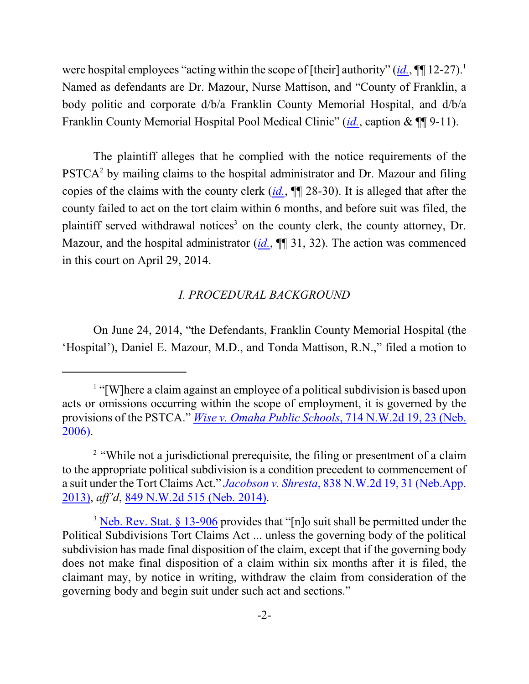were hospital employees "acting within the scope of [their] authority"  $(id, \P\P 12-27)$ .<sup>1</sup> Named as defendants are Dr. Mazour, Nurse Mattison, and "County of Franklin, a body politic and corporate d/b/a Franklin County Memorial Hospital, and d/b/a Franklin County Memorial Hospital Pool Medical Clinic" (*[id.](http://ecf.ned.uscourts.gov/doc1/11313015376)*, caption & ¶¶ 9-11).

The plaintiff alleges that he complied with the notice requirements of the PSTCA<sup>2</sup> by mailing claims to the hospital administrator and Dr. Mazour and filing copies of the claims with the county clerk (*[id.](http://ecf.ned.uscourts.gov/doc1/11313015376)*, ¶¶ 28-30). It is alleged that after the county failed to act on the tort claim within 6 months, and before suit was filed, the plaintiff served withdrawal notices 3 on the county clerk, the county attorney, Dr. Mazour, and the hospital administrator (*[id.](http://ecf.ned.uscourts.gov/doc1/11313015376)*,  $\P$ ] 31, 32). The action was commenced in this court on April 29, 2014.

#### *I. PROCEDURAL BACKGROUND*

On June 24, 2014, "the Defendants, Franklin County Memorial Hospital (the 'Hospital'), Daniel E. Mazour, M.D., and Tonda Mattison, R.N.," filed a motion to

<sup>&</sup>lt;sup>1</sup> "[W]here a claim against an employee of a political subdivision is based upon acts or omissions occurring within the scope of employment, it is governed by the provisions of the PSTCA." *Wise v. Omaha Public Schools*, [714 N.W.2d 19, 23 \(Neb.](http://web2.westlaw.com/find/default.wl?cite=714+N.W.2d+19&rs=WLW15.01&vr=2.0&rp=%2ffind%2fdefault.wl&sv=Split&fn=_top&mt=Westlaw) [2006\)](http://web2.westlaw.com/find/default.wl?cite=714+N.W.2d+19&rs=WLW15.01&vr=2.0&rp=%2ffind%2fdefault.wl&sv=Split&fn=_top&mt=Westlaw).

<sup>&</sup>lt;sup>2</sup> "While not a jurisdictional prerequisite, the filing or presentment of a claim to the appropriate political subdivision is a condition precedent to commencement of a suit under the Tort Claims Act." *Jacobson v. Shresta*, [838 N.W.2d 19, 31 \(Neb.App.](http://web2.westlaw.com/find/default.wl?cite=838+N.W.2d+31+&rs=WLW15.01&vr=2.0&rp=%2ffind%2fdefault.wl&sv=Split&fn=_top&mt=Westlaw) [2013\)](http://web2.westlaw.com/find/default.wl?cite=838+N.W.2d+31+&rs=WLW15.01&vr=2.0&rp=%2ffind%2fdefault.wl&sv=Split&fn=_top&mt=Westlaw), *aff'd*, [849 N.W.2d 515 \(Neb. 2014\)](http://web2.westlaw.com/find/default.wl?mt=Westlaw&db=595&caseserial=2031657943&rp=%2ffind%2fdefault.wl&findtype=0&ordoc=2031657943&serialnum=2033913084&vr=2.0&fn=_top&sv=Split&pbc=BC6E23F9&casecite=838+N.W.2d+19&rs=WLW15.01).

<sup>&</sup>lt;sup>3</sup> [Neb. Rev. Stat. § 13-906](http://web2.westlaw.com/find/default.wl?cite=+Neb.+Rev.+Stat.+%c2%a7+13-906&rs=WLW15.01&pbc=A3D852A5&vr=2.0&rp=%2ffind%2fdefault.wl&sv=Split&fn=_top&mt=Westlaw) provides that "[n]o suit shall be permitted under the Political Subdivisions Tort Claims Act ... unless the governing body of the political subdivision has made final disposition of the claim, except that if the governing body does not make final disposition of a claim within six months after it is filed, the claimant may, by notice in writing, withdraw the claim from consideration of the governing body and begin suit under such act and sections."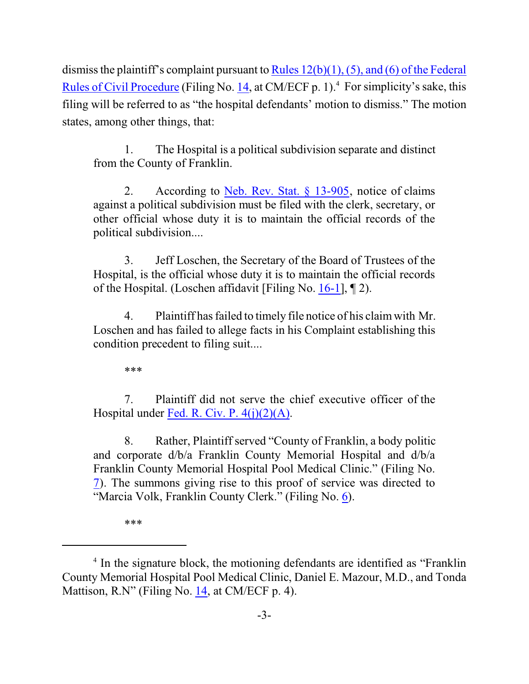dismiss the plaintiff's complaint pursuant to [Rules 12\(b\)\(1\), \(5\), and \(6\) of the](http://web2.westlaw.com/result/result.aspx?ss=CNT&mt=Westlaw&n=1&cnt=DOC&rlt=CLID_FQRLT66162533315123&scxt=WL&service=Find&fmqv=c&rp=%2fFind%2fdefault.wl&vr=2.0&rlti=1&sv=Split&fn=_top&cite=fedrcivp12&rs=WLW15.01) Federal [Rules of Civil Procedure](http://web2.westlaw.com/result/result.aspx?ss=CNT&mt=Westlaw&n=1&cnt=DOC&rlt=CLID_FQRLT66162533315123&scxt=WL&service=Find&fmqv=c&rp=%2fFind%2fdefault.wl&vr=2.0&rlti=1&sv=Split&fn=_top&cite=fedrcivp12&rs=WLW15.01) (Filing No. [14](http://ecf.ned.uscourts.gov/doc1/11313054156), at CM/ECF p. 1).<sup>4</sup> For simplicity's sake, this filing will be referred to as "the hospital defendants' motion to dismiss." The motion states, among other things, that:

1. The Hospital is a political subdivision separate and distinct from the County of Franklin.

2. According to <u>[Neb. Rev.](http://web2.westlaw.com/find/default.wl?cite=nestat13-905&rs=WLW15.01&vr=2.0&rp=%2ffind%2fdefault.wl&sv=Split&fn=_top&mt=Westlaw) Stat. § 13-905</u>, notice of claims against a political subdivision must be filed with the clerk, secretary, or other official whose duty it is to maintain the official records of the political subdivision....

3. Jeff Loschen, the Secretary of the Board of Trustees of the Hospital, is the official whose duty it is to maintain the official records of the Hospital. (Loschen affidavit [Filing No. [16-1](http://ecf.ned.uscourts.gov/doc1/11313054172)], ¶ 2).

4. Plaintiff hasfailed to timely file notice of his claimwith Mr. Loschen and has failed to allege facts in his Complaint establishing this condition precedent to filing suit....

\*\*\*

7. Plaintiff did not serve the chief executive officer of the Hospital under [Fed. R. Civ. P. 4\(j\)\(2\)\(A\)](http://web2.westlaw.com/result/result.aspx?ss=CNT&mt=Westlaw&n=1&cnt=DOC&rlt=CLID_FQRLT52838574515123&scxt=WL&service=Find&fmqv=c&rp=%2fFind%2fdefault.wl&vr=2.0&rlti=1&sv=Split&fn=_top&cite=fedrcivp4&rs=WLW15.01).

8. Rather, Plaintiff served "County of Franklin, a body politic and corporate d/b/a Franklin County Memorial Hospital and d/b/a Franklin County Memorial Hospital Pool Medical Clinic." (Filing No. [7](http://ecf.ned.uscourts.gov/doc1/11313021739)). The summons giving rise to this proof of service was directed to "Marcia Volk, Franklin County Clerk." (Filing No. [6](http://ecf.ned.uscourts.gov/doc1/11313019165)).

\*\*\*

<sup>&</sup>lt;sup>4</sup> In the signature block, the motioning defendants are identified as "Franklin County Memorial Hospital Pool Medical Clinic, Daniel E. Mazour, M.D., and Tonda Mattison, R.N" (Filing No. [14](http://ecf.ned.uscourts.gov/doc1/11313054156), at CM/ECF p. 4).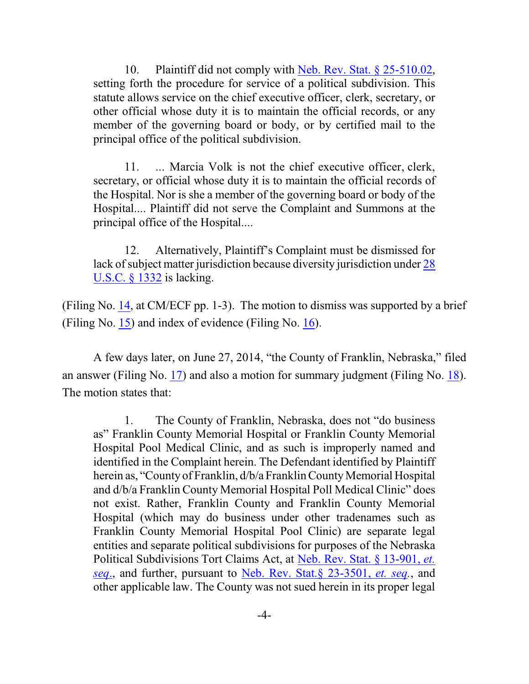10. Plaintiff did not comply with [Neb. Rev. Stat. § 25-510.02](http://web2.westlaw.com/find/default.wl?cite=Neb.+Rev.+Stat.+%c2%a7+25-510.02&rs=WLW15.01&vr=2.0&rp=%2ffind%2fdefault.wl&sv=Split&fn=_top&mt=Westlaw), setting forth the procedure for service of  $\overline{a}$  political subdivision. This statute allows service on the chief executive officer, clerk, secretary, or other official whose duty it is to maintain the official records, or any member of the governing board or body, or by certified mail to the principal office of the political subdivision.

11. ... Marcia Volk is not the chief executive officer, clerk, secretary, or official whose duty it is to maintain the official records of the Hospital. Nor is she a member of the governing board or body of the Hospital.... Plaintiff did not serve the Complaint and Summons at the principal office of the Hospital....

12. Alternatively, Plaintiff's Complaint must be dismissed for lack of subject matter jurisdiction because diversity jurisdiction under [28](http://web2.westlaw.com/result/result.aspx?ss=CNT&mt=Westlaw&n=1&cnt=DOC&rlt=CLID_FQRLT8698244715123&scxt=WL&service=Find&fmqv=c&rp=%2fFind%2fdefault.wl&vr=2.0&rlti=1&sv=Split&fn=_top&cite=28usc1332&rs=WLW15.01) [U.S.C. § 1332](http://web2.westlaw.com/result/result.aspx?ss=CNT&mt=Westlaw&n=1&cnt=DOC&rlt=CLID_FQRLT8698244715123&scxt=WL&service=Find&fmqv=c&rp=%2fFind%2fdefault.wl&vr=2.0&rlti=1&sv=Split&fn=_top&cite=28usc1332&rs=WLW15.01) is lacking.

(Filing No. [14](http://ecf.ned.uscourts.gov/doc1/11313054156), at CM/ECF pp. 1-3). The motion to dismiss was supported by a brief (Filing No. [15](http://ecf.ned.uscourts.gov/doc1/11313054159)) and index of evidence (Filing No. [16](http://ecf.ned.uscourts.gov/doc1/11313054171)).

A few days later, on June 27, 2014, "the County of Franklin, Nebraska," filed an answer (Filing No. [17](http://ecf.ned.uscourts.gov/doc1/11313056827)) and also a motion for summary judgment (Filing No. [18](https://ecf.ned.uscourts.gov/doc1/11313056830)). The motion states that:

1. The County of Franklin, Nebraska, does not "do business as" Franklin County Memorial Hospital or Franklin County Memorial Hospital Pool Medical Clinic, and as such is improperly named and identified in the Complaint herein. The Defendant identified by Plaintiff herein as, "County of Franklin,  $d/b/a$  Franklin County Memorial Hospital and d/b/a Franklin County Memorial Hospital Poll Medical Clinic" does not exist. Rather, Franklin County and Franklin County Memorial Hospital (which may do business under other tradenames such as Franklin County Memorial Hospital Pool Clinic) are separate legal entities and separate political subdivisions for purposes of the Nebraska Political Subdivisions Tort Claims Act, at [Neb. Rev. Stat. § 13-901,](http://web2.westlaw.com/find/default.wl?cite=Neb.+Rev.+Stat.+%c2%a713-901&rs=WLW15.01&vr=2.0&rp=%2ffind%2fdefault.wl&sv=Split&fn=_top&mt=Westlaw) *et. [seq](http://web2.westlaw.com/find/default.wl?cite=Neb.+Rev.+Stat.+%c2%a713-901&rs=WLW15.01&vr=2.0&rp=%2ffind%2fdefault.wl&sv=Split&fn=_top&mt=Westlaw)*., and further, pursuant to [Neb. Rev. Stat.§ 23-3501,](http://web2.westlaw.com/find/default.wl?cite=Neb.+Rev.+Stat.%c2%a723-3501&rs=WLW15.01&vr=2.0&rp=%2ffind%2fdefault.wl&sv=Split&fn=_top&mt=Westlaw) *et. seq.*, and other applicable law. The County was not sued herein in its proper legal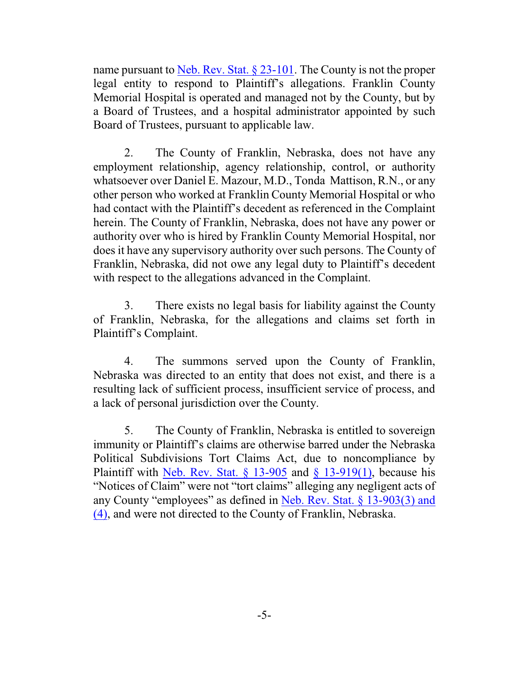name pursuant to [Neb. Rev. Stat. § 23-101](http://web2.westlaw.com/find/default.wl?cite=Neb.+Rev.+Stat.+%c2%a723-101&rs=WLW15.01&vr=2.0&rp=%2ffind%2fdefault.wl&sv=Split&fn=_top&mt=Westlaw). The County is not the proper legal entity to respond to Plaintiff's allegations. Franklin County Memorial Hospital is operated and managed not by the County, but by a Board of Trustees, and a hospital administrator appointed by such Board of Trustees, pursuant to applicable law.

2. The County of Franklin, Nebraska, does not have any employment relationship, agency relationship, control, or authority whatsoever over Daniel E. Mazour, M.D., Tonda Mattison, R.N., or any other person who worked at Franklin County Memorial Hospital or who had contact with the Plaintiff's decedent as referenced in the Complaint herein. The County of Franklin, Nebraska, does not have any power or authority over who is hired by Franklin County Memorial Hospital, nor does it have any supervisory authority over such persons. The County of Franklin, Nebraska, did not owe any legal duty to Plaintiff's decedent with respect to the allegations advanced in the Complaint.

3. There exists no legal basis for liability against the County of Franklin, Nebraska, for the allegations and claims set forth in Plaintiff's Complaint.

4. The summons served upon the County of Franklin, Nebraska was directed to an entity that does not exist, and there is a resulting lack of sufficient process, insufficient service of process, and a lack of personal jurisdiction over the County.

5. The County of Franklin, Nebraska is entitled to sovereign immunity or Plaintiff's claims are otherwise barred under the Nebraska Political Subdivisions Tort Claims Act, due to noncompliance by Plaintiff with Neb. Rev. Stat.  $\S$  13-905 and  $\S$  13-919(1), because his "Notices of Claim" were not "tort claims" alleging any negligent acts of any County "employees" as defined in [Neb. Rev. Stat. § 13-903\(3\) and](http://web2.westlaw.com/find/default.wl?cite=Neb.+Rev.+Stat.+%c2%a713-903&rs=WLW15.01&vr=2.0&rp=%2ffind%2fdefault.wl&sv=Split&fn=_top&mt=Westlaw) [\(4\)](http://web2.westlaw.com/find/default.wl?cite=Neb.+Rev.+Stat.+%c2%a713-903&rs=WLW15.01&vr=2.0&rp=%2ffind%2fdefault.wl&sv=Split&fn=_top&mt=Westlaw), and were not directed to the County of Franklin, Nebraska.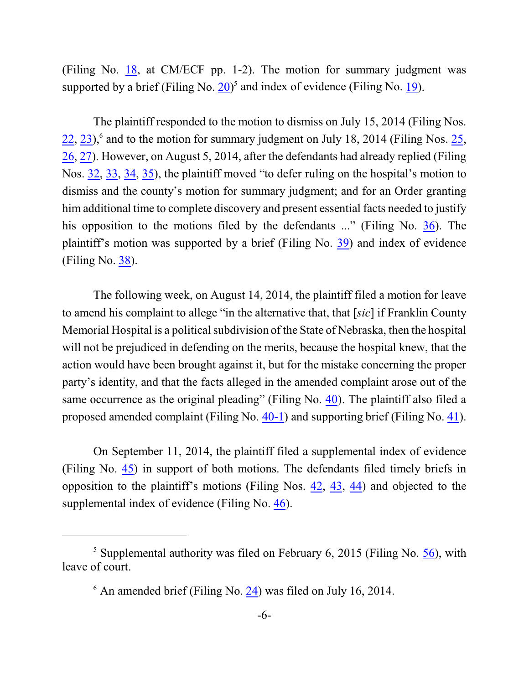(Filing No. [18](http://ecf.ned.uscourts.gov/doc1/11313056830), at CM/ECF pp. 1-2). The motion for summary judgment was supported by a brief (Filing No.  $20$ )<sup>5</sup> and index of evidence (Filing No.  $19$ ).

The plaintiff responded to the motion to dismiss on July 15, 2014 (Filing Nos.  $22$ ,  $23$ ),<sup>6</sup> and to the motion for summary judgment on July 18, 2014 (Filing Nos.  $25$ , [26](https://ecf.ned.uscourts.gov/doc1/11303070442), [27](https://ecf.ned.uscourts.gov/doc1/11313070447)). However, on August 5, 2014, after the defendants had already replied (Filing Nos. [32](https://ecf.ned.uscourts.gov/doc1/11303074969), [33](https://ecf.ned.uscourts.gov/doc1/11313074977), [34](https://ecf.ned.uscourts.gov/doc1/11313078333), [35](https://ecf.ned.uscourts.gov/doc1/11303078340)), the plaintiff moved "to defer ruling on the hospital's motion to dismiss and the county's motion for summary judgment; and for an Order granting him additional time to complete discovery and present essential facts needed to justify his opposition to the motions filed by the defendants ..." (Filing No. [36](http://ecf.ned.uscourts.gov/doc1/11313081948)). The plaintiff's motion was supported by a brief (Filing No. [39](http://ecf.ned.uscourts.gov/doc1/11313085500)) and index of evidence (Filing No. [38](http://ecf.ned.uscourts.gov/doc1/11313081960)).

The following week, on August 14, 2014, the plaintiff filed a motion for leave to amend his complaint to allege "in the alternative that, that [*sic*] if Franklin County Memorial Hospital is a political subdivision of the State of Nebraska, then the hospital will not be prejudiced in defending on the merits, because the hospital knew, that the action would have been brought against it, but for the mistake concerning the proper party's identity, and that the facts alleged in the amended complaint arose out of the same occurrence as the original pleading" (Filing No. [40](http://ecf.ned.uscourts.gov/doc1/11313086834)). The plaintiff also filed a proposed amended complaint (Filing No. [40-1](http://ecf.ned.uscourts.gov/doc1/11313086835)) and supporting brief (Filing No. [41](http://ecf.ned.uscourts.gov/doc1/11313086838)).

On September 11, 2014, the plaintiff filed a supplemental index of evidence (Filing No. [45](http://ecf.ned.uscourts.gov/doc1/11313103701)) in support of both motions. The defendants filed timely briefs in opposition to the plaintiff's motions (Filing Nos. [42](https://ecf.ned.uscourts.gov/doc1/11313087785), [43](https://ecf.ned.uscourts.gov/doc1/11313088723), [44](https://ecf.ned.uscourts.gov/doc1/11313095757)) and objected to the supplemental index of evidence (Filing No. [46](http://ecf.ned.uscourts.gov/doc1/11313105969)).

 $<sup>5</sup>$  Supplemental authority was filed on February 6, 2015 (Filing No. [56](http://ecf.ned.uscourts.gov/doc1/11313205076)), with</sup> leave of court.

 $6$  An amended brief (Filing No.  $24$ ) was filed on July 16, 2014.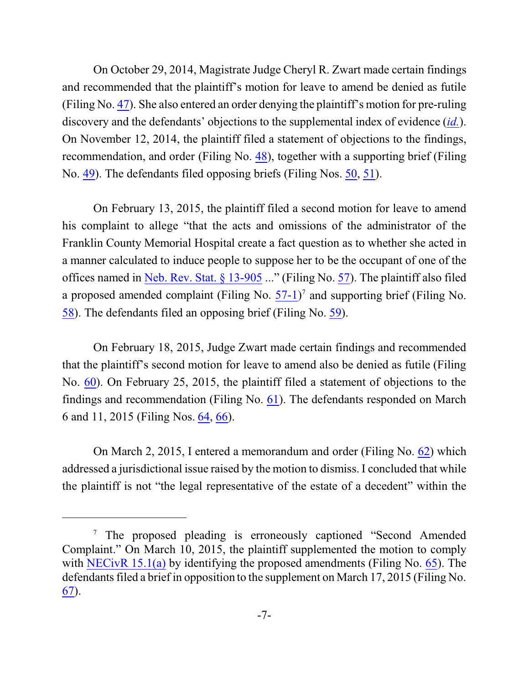On October 29, 2014, Magistrate Judge Cheryl R. Zwart made certain findings and recommended that the plaintiff's motion for leave to amend be denied as futile (Filing No. [47](https://ecf.ned.uscourts.gov/doc1/11313137738)). She also entered an order denying the plaintiff's motion for pre-ruling discovery and the defendants' objections to the supplemental index of evidence (*[id.](https://ecf.ned.uscourts.gov/doc1/11313137738)*). On November 12, 2014, the plaintiff filed a statement of objections to the findings, recommendation, and order (Filing No. [48](https://ecf.ned.uscourts.gov/doc1/11313147449)), together with a supporting brief (Filing No. [49](http://ecf.ned.uscourts.gov/doc1/11313147458)). The defendants filed opposing briefs (Filing Nos. [50](https://ecf.ned.uscourts.gov/doc1/11313155972), [51](https://ecf.ned.uscourts.gov/doc1/11313156600)).

On February 13, 2015, the plaintiff filed a second motion for leave to amend his complaint to allege "that the acts and omissions of the administrator of the Franklin County Memorial Hospital create a fact question as to whether she acted in a manner calculated to induce people to suppose her to be the occupant of one of the offices named in [Neb. Rev. Stat. § 13-905](http://web2.westlaw.com/find/default.wl?cite=Neb.+Rev.+Stat.+%c2%a7+13-905+&rs=WLW15.01&vr=2.0&rp=%2ffind%2fdefault.wl&sv=Split&fn=_top&mt=Westlaw) ..." (Filing No. [57](http://ecf.ned.uscourts.gov/doc1/11313209124)). The plaintiff also filed a proposed amended complaint (Filing No.  $57-1$ )<sup>7</sup> and supporting brief (Filing No. [58](http://ecf.ned.uscourts.gov/doc1/11313209139)). The defendants filed an opposing brief (Filing No. [59](http://ecf.ned.uscourts.gov/doc1/11313210026)).

On February 18, 2015, Judge Zwart made certain findings and recommended that the plaintiff's second motion for leave to amend also be denied as futile (Filing No. [60](https://ecf.ned.uscourts.gov/doc1/11313211949)). On February 25, 2015, the plaintiff filed a statement of objections to the findings and recommendation (Filing No. [61](https://ecf.ned.uscourts.gov/doc1/11313219070)). The defendants responded on March 6 and 11, 2015 (Filing Nos. [64](http://ecf.ned.uscourts.gov/doc1/11313225430), [66](https://ecf.ned.uscourts.gov/doc1/11313228990)).

On March 2, 2015, I entered a memorandum and order (Filing No. [62](https://ecf.ned.uscourts.gov/doc1/11313221441)) which addressed a jurisdictional issue raised by the motion to dismiss. I concluded that while the plaintiff is not "the legal representative of the estate of a decedent" within the

<sup>&</sup>lt;sup>7</sup> The proposed pleading is erroneously captioned "Second Amended" Complaint." On March 10, 2015, the plaintiff supplemented the motion to comply with [NECivR](http://www.ned.uscourts.gov/localrules/rules14/NECivR/15.1.pdf) 15.1(a) by identifying the proposed amendments (Filing No. [65](http://ecf.ned.uscourts.gov/doc1/11313227787)). The defendants filed a brief in opposition to the supplement on March 17, 2015 (Filing No. [67](https://ecf.ned.uscourts.gov/doc1/11313232845)).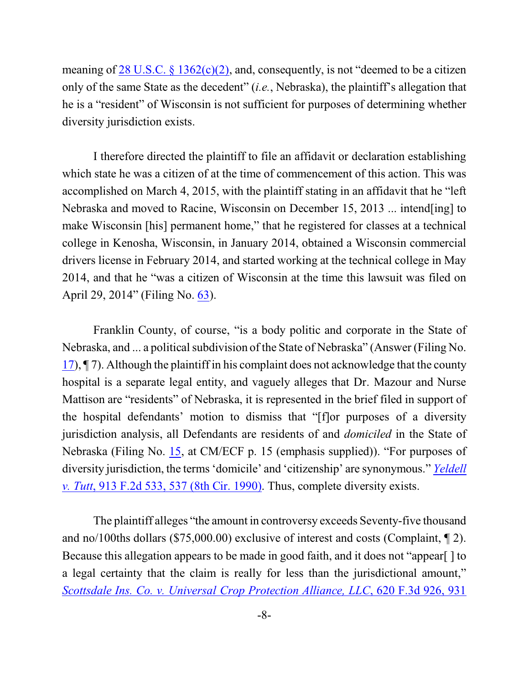meaning of  $28 \text{ U.S.C. }$  §  $1362(c)(2)$ , and, consequently, is not "deemed to be a citizen only of the same State as the decedent" (*i.e.*, Nebraska), the plaintiff's allegation that he is a "resident" of Wisconsin is not sufficient for purposes of determining whether diversity jurisdiction exists.

I therefore directed the plaintiff to file an affidavit or declaration establishing which state he was a citizen of at the time of commencement of this action. This was accomplished on March 4, 2015, with the plaintiff stating in an affidavit that he "left Nebraska and moved to Racine, Wisconsin on December 15, 2013 ... intend[ing] to make Wisconsin [his] permanent home," that he registered for classes at a technical college in Kenosha, Wisconsin, in January 2014, obtained a Wisconsin commercial drivers license in February 2014, and started working at the technical college in May 2014, and that he "was a citizen of Wisconsin at the time this lawsuit was filed on April 29, 2014" (Filing No. [63](http://ecf.ned.uscourts.gov/doc1/11313224208)).

Franklin County, of course, "is a body politic and corporate in the State of Nebraska, and ... a political subdivision of the State of Nebraska" (Answer (Filing No.) [17](http://ecf.ned.uscourts.gov/doc1/11313056827)), ¶ 7). Although the plaintiff in his complaint does not acknowledge that the county hospital is a separate legal entity, and vaguely alleges that Dr. Mazour and Nurse Mattison are "residents" of Nebraska, it is represented in the brief filed in support of the hospital defendants' motion to dismiss that "[f]or purposes of a diversity jurisdiction analysis, all Defendants are residents of and *domiciled* in the State of Nebraska (Filing No. [15](http://ecf.ned.uscourts.gov/doc1/11313054159), at CM/ECF p. 15 (emphasis supplied)). "For purposes of diversity jurisdiction, the terms 'domicile' and 'citizenship' are synonymous." *[Yeldell](http://web2.westlaw.com/find/default.wl?cite=+913+F.2d+537&rs=WLW15.01&vr=2.0&rp=%2ffind%2fdefault.wl&sv=Split&fn=_top&mt=Westlaw) v. Tutt*[, 913 F.2d 533, 537 \(8th Cir. 1990\)](http://web2.westlaw.com/find/default.wl?cite=+913+F.2d+537&rs=WLW15.01&vr=2.0&rp=%2ffind%2fdefault.wl&sv=Split&fn=_top&mt=Westlaw). Thus, complete diversity exists.

The plaintiff alleges "the amount in controversy exceeds Seventy-five thousand and no/100ths dollars (\$75,000.00) exclusive of interest and costs (Complaint, ¶ 2). Because this allegation appears to be made in good faith, and it does not "appear[ ] to a legal certainty that the claim is really for less than the jurisdictional amount," *Scottsdale Ins. Co. v. Universal [Crop Protection Alliance, LLC](http://web2.westlaw.com/find/default.wl?cite=620+F.3d+931+&rs=WLW15.01&pbc=862649DA&vr=2.0&rp=%2ffind%2fdefault.wl&sv=Split&fn=_top&mt=Westlaw)*, 620 F.3d 926, 931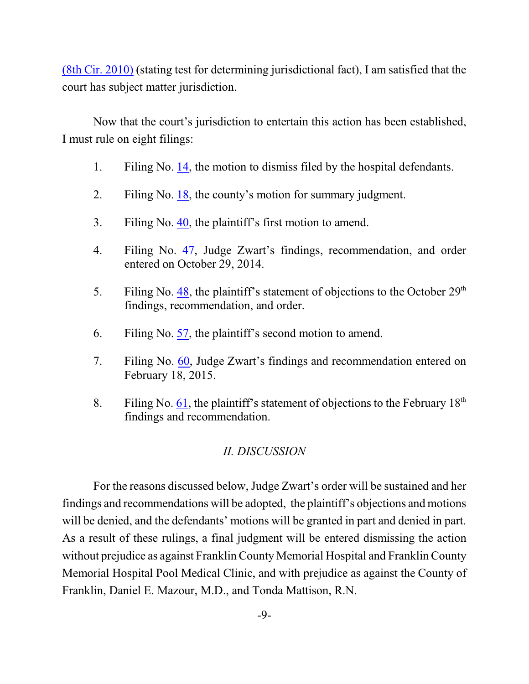(8th Cir. 2010) (stating test for determining jurisdictional fact), I am satisfied that the court has subject matter jurisdiction.

Now that the court's jurisdiction to entertain this action has been established, I must rule on eight filings:

- 1. Filing No. [14](http://ecf.ned.uscourts.gov/doc1/11313054156), the motion to dismiss filed by the hospital defendants.
- 2. Filing No. [18](http://ecf.ned.uscourts.gov/doc1/11313056830), the county's motion for summary judgment.
- 3. Filing No. [40](http://ecf.ned.uscourts.gov/doc1/11313086834), the plaintiff's first motion to amend.
- 4. Filing No. [47](http://ecf.ned.uscourts.gov/doc1/11313137738), Judge Zwart's findings, recommendation, and order entered on October 29, 2014.
- 5. Filing No. [48](http://ecf.ned.uscourts.gov/doc1/11313147449), the plaintiff's statement of objections to the October  $29<sup>th</sup>$ findings, recommendation, and order.
- 6. Filing No. [57](http://ecf.ned.uscourts.gov/doc1/11313209124), the plaintiff's second motion to amend.
- 7. Filing No. [60](http://ecf.ned.uscourts.gov/doc1/11313211949), Judge Zwart's findings and recommendation entered on February 18, 2015.
- 8. Filing No. [61](http://ecf.ned.uscourts.gov/doc1/11313219070), the plaintiff's statement of objections to the February  $18<sup>th</sup>$ findings and recommendation.

### *II. DISCUSSION*

For the reasons discussed below, Judge Zwart's order will be sustained and her findings and recommendations will be adopted, the plaintiff's objections and motions will be denied, and the defendants' motions will be granted in part and denied in part. As a result of these rulings, a final judgment will be entered dismissing the action without prejudice as against Franklin County Memorial Hospital and Franklin County Memorial Hospital Pool Medical Clinic, and with prejudice as against the County of Franklin, Daniel E. Mazour, M.D., and Tonda Mattison, R.N.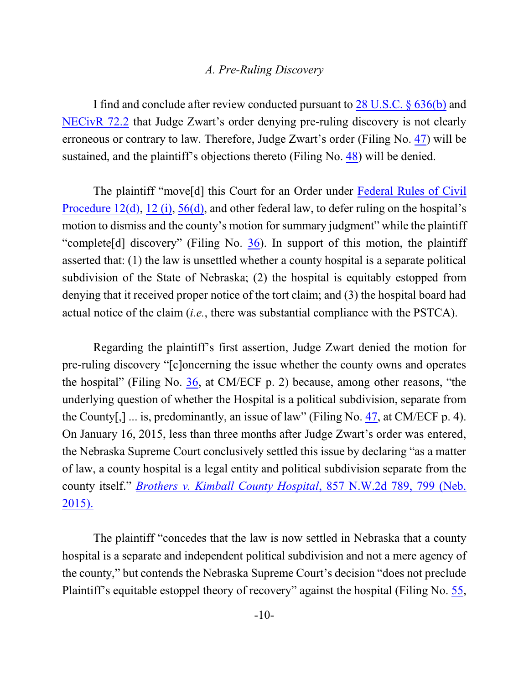#### *A. Pre-Ruling Discovery*

I find and conclude after review conducted pursuant to [28 U.S.C. § 636\(b\)](https://web2.westlaw.com/find/default.wl?rs=WLW10.05&ifm=NotSet&fn=_top&sv=Split&cite=28usc636&vr=2.0&rp=%2ffind%2fdefault.wl&mt=Westlaw) and [NECivR](http://www.ned.uscourts.gov/localrules/rules14/NECivR/72.2.pdf) 72.2 that Judge Zwart's order denying pre-ruling discovery is not clearly erroneous or contrary to law. Therefore, Judge Zwart's order (Filing No. [47](http://ecf.ned.uscourts.gov/doc1/11313137738)) will be sustained, and the plaintiff's objections thereto (Filing No. [48](http://ecf.ned.uscourts.gov/doc1/11313147449)) will be denied.

The plaintiff "move[d] this Court for an Order under [Federal Rules of Civil](http://web2.westlaw.com/result/result.aspx?fn=_top&rp=%2fFind%2fdefault.wl&cnt=DOC&rs=WLW15.01&scxt=WL&service=Find&cite=fedrcivp12&rlt=CLID_FQRLT81345535515123&n=1&fmqv=c&vr=2.0&rlti=1&sv=Split&mt=Westlaw&ss=CNT&pbc=862649DA) [Procedure](http://web2.westlaw.com/result/result.aspx?fn=_top&rp=%2fFind%2fdefault.wl&cnt=DOC&rs=WLW15.01&scxt=WL&service=Find&cite=fedrcivp12&rlt=CLID_FQRLT81345535515123&n=1&fmqv=c&vr=2.0&rlti=1&sv=Split&mt=Westlaw&ss=CNT&pbc=862649DA) 12(d), [12 \(i\)](http://web2.westlaw.com/result/result.aspx?fn=_top&rp=%2fFind%2fdefault.wl&cnt=DOC&rs=WLW15.01&scxt=WL&service=Find&cite=fedrcivp12&rlt=CLID_FQRLT81345535515123&n=1&fmqv=c&vr=2.0&rlti=1&sv=Split&mt=Westlaw&ss=CNT&pbc=862649DA), [56\(d\)](http://web2.westlaw.com/result/result.aspx?fn=_top&rp=%2fFind%2fdefault.wl&cnt=DOC&rs=WLW15.01&scxt=WL&service=Find&cite=fedrcivp56&rlt=CLID_FQRLT99531235615123&n=1&fmqv=c&vr=2.0&rlti=1&sv=Split&mt=Westlaw&ss=CNT&pbc=862649DA), and other federal law, to defer ruling on the hospital's motion to dismiss and the county's motion for summary judgment" while the plaintiff "complete[d] discovery" (Filing No. [36](http://ecf.ned.uscourts.gov/doc1/11313081948)). In support of this motion, the plaintiff asserted that: (1) the law is unsettled whether a county hospital is a separate political subdivision of the State of Nebraska; (2) the hospital is equitably estopped from denying that it received proper notice of the tort claim; and (3) the hospital board had actual notice of the claim (*i.e.*, there was substantial compliance with the PSTCA).

Regarding the plaintiff's first assertion, Judge Zwart denied the motion for pre-ruling discovery "[c]oncerning the issue whether the county owns and operates the hospital" (Filing No. [36](http://ecf.ned.uscourts.gov/doc1/11313081948), at CM/ECF p. 2) because, among other reasons, "the underlying question of whether the Hospital is a political subdivision, separate from the County[,] ... is, predominantly, an issue of law" (Filing No. [47](https://ecf.ned.uscourts.gov/doc1/11313137738), at CM/ECF p. 4). On January 16, 2015, less than three months after Judge Zwart's order was entered, the Nebraska Supreme Court conclusively settled this issue by declaring "as a matter of law, a county hospital is a legal entity and political subdivision separate from the county itself." *Brothers v. Kimball County Hospital*, [857 N.W.2d 789, 799 \(Neb.](http://web2.westlaw.com/find/default.wl?cite=857+N.W.2d+799+&rs=WLW15.01&pbc=862649DA&vr=2.0&rp=%2ffind%2fdefault.wl&sv=Split&fn=_top&mt=Westlaw) [2015\).](http://web2.westlaw.com/find/default.wl?cite=857+N.W.2d+799+&rs=WLW15.01&pbc=862649DA&vr=2.0&rp=%2ffind%2fdefault.wl&sv=Split&fn=_top&mt=Westlaw)

The plaintiff "concedes that the law is now settled in Nebraska that a county hospital is a separate and independent political subdivision and not a mere agency of the county," but contends the Nebraska Supreme Court's decision "does not preclude Plaintiff's equitable estoppel theory of recovery" against the hospital (Filing No. [55](http://ecf.ned.uscourts.gov/doc1/11313204181),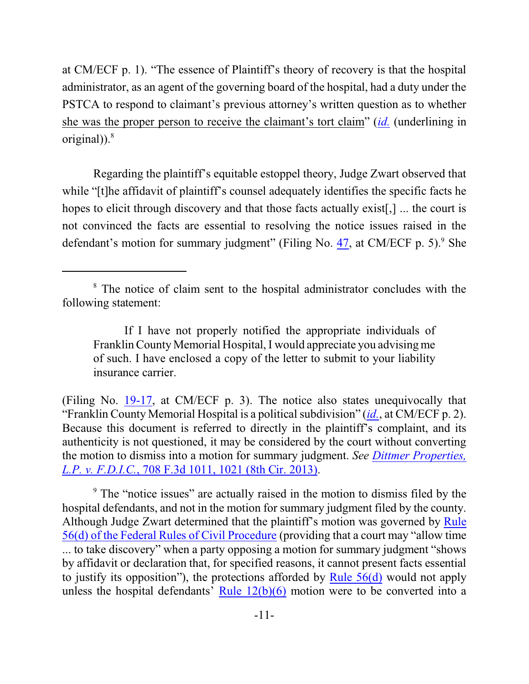at CM/ECF p. 1). "The essence of Plaintiff's theory of recovery is that the hospital administrator, as an agent of the governing board of the hospital, had a duty under the PSTCA to respond to claimant's previous attorney's written question as to whether she was the proper person to receive the claimant's tort claim" (*[id.](http://ecf.ned.uscourts.gov/doc1/11313204181)* (underlining in original)). $8$ 

Regarding the plaintiff's equitable estoppel theory, Judge Zwart observed that while "[t]he affidavit of plaintiff's counsel adequately identifies the specific facts he hopes to elicit through discovery and that those facts actually exist[,] ... the court is not convinced the facts are essential to resolving the notice issues raised in the defendant's motion for summary judgment" (Filing No. [47](http://ecf.ned.uscourts.gov/doc1/11313137738), at CM/ECF p. 5).<sup>9</sup> She

(Filing No. [19-17](http://ecf.ned.uscourts.gov/doc1/11313056906), at CM/ECF p. 3). The notice also states unequivocally that "Franklin County Memorial Hospital is a political subdivision" (*[id.](http://ecf.ned.uscourts.gov/doc1/11313056906)*, at CM/ECF p. 2). Because this document is referred to directly in the plaintiff's complaint, and its authenticity is not questioned, it may be considered by the court without converting the motion to dismiss into a motion for summary judgment. *See [Dittmer Properties,](http://web2.westlaw.com/find/default.wl?cite=708+F.3d+1021&rs=WLW15.01&pbc=862649DA&vr=2.0&rp=%2ffind%2fdefault.wl&sv=Split&fn=_top&mt=Westlaw) L.P. v. F.D.I.C.*[, 708 F.3d 1011, 1021 \(8th Cir. 2013\)](http://web2.westlaw.com/find/default.wl?cite=708+F.3d+1021&rs=WLW15.01&pbc=862649DA&vr=2.0&rp=%2ffind%2fdefault.wl&sv=Split&fn=_top&mt=Westlaw).

<sup>9</sup> The "notice issues" are actually raised in the motion to dismiss filed by the hospital defendants, and not in the motion for summary judgment filed by the county. Although Judge Zwart determined that the plaintiff's motion was governed by [Rule](http://web2.westlaw.com/result/result.aspx?fn=_top&rp=%2fFind%2fdefault.wl&cnt=DOC&rs=WLW15.01&scxt=WL&service=Find&cite=fedrcivp56&rlt=CLID_FQRLT43801565915123&n=1&fmqv=c&vr=2.0&rlti=1&sv=Split&mt=Westlaw&ss=CNT&pbc=862649DA) 56(d) of the Federal [Rules of Civil Procedure](http://web2.westlaw.com/result/result.aspx?fn=_top&rp=%2fFind%2fdefault.wl&cnt=DOC&rs=WLW15.01&scxt=WL&service=Find&cite=fedrcivp56&rlt=CLID_FQRLT43801565915123&n=1&fmqv=c&vr=2.0&rlti=1&sv=Split&mt=Westlaw&ss=CNT&pbc=862649DA) (providing that a court may "allow time ... to take discovery" when a party opposing a motion for summary judgment "shows by affidavit or declaration that, for specified reasons, it cannot present facts essential to justify its opposition"), the protections afforded by Rule [56\(d\)](http://web2.westlaw.com/result/result.aspx?fn=_top&rp=%2fFind%2fdefault.wl&cnt=DOC&rs=WLW15.01&scxt=WL&service=Find&cite=fedrcivp56&rlt=CLID_FQRLT43801565915123&n=1&fmqv=c&vr=2.0&rlti=1&sv=Split&mt=Westlaw&ss=CNT&pbc=862649DA) would not apply unless the hospital defendants' Rule  $12(b)(6)$  motion were to be converted into a

<sup>&</sup>lt;sup>8</sup> The notice of claim sent to the hospital administrator concludes with the following statement:

If I have not properly notified the appropriate individuals of Franklin County Memorial Hospital, I would appreciate you advising me of such. I have enclosed a copy of the letter to submit to your liability insurance carrier.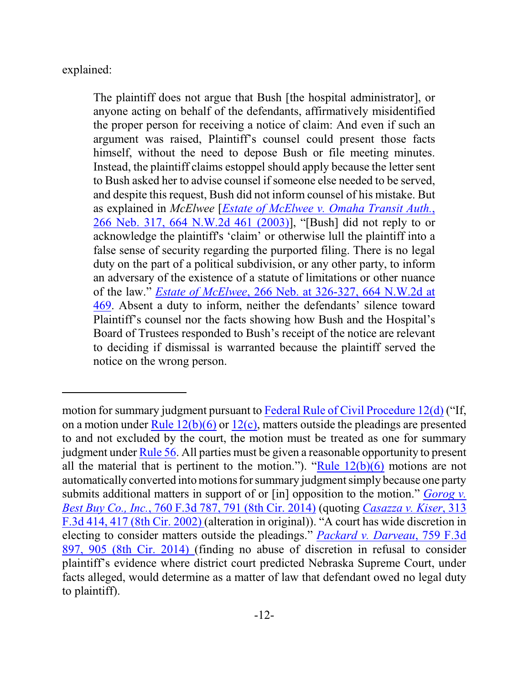explained:

The plaintiff does not argue that Bush [the hospital administrator], or anyone acting on behalf of the defendants, affirmatively misidentified the proper person for receiving a notice of claim: And even if such an argument was raised, Plaintiff's counsel could present those facts himself, without the need to depose Bush or file meeting minutes. Instead, the plaintiff claims estoppel should apply because the letter sent to Bush asked her to advise counsel if someone else needed to be served, and despite this request, Bush did not inform counsel of his mistake. But as explained in *McElwee* [*Estate of McElwee [v. Omaha Transit Auth.](http://web2.westlaw.com/find/default.wl?cite=664+N.W.2d+461&rs=WLW15.01&pbc=862649DA&vr=2.0&rp=%2ffind%2fdefault.wl&sv=Split&fn=_top&mt=Westlaw)*, 266 Neb. [317, 664 N.W.2d 461 \(2003\)](http://web2.westlaw.com/find/default.wl?cite=664+N.W.2d+461&rs=WLW15.01&pbc=862649DA&vr=2.0&rp=%2ffind%2fdefault.wl&sv=Split&fn=_top&mt=Westlaw)], "[Bush] did not reply to or acknowledge the plaintiff's 'claim' or otherwise lull the plaintiff into a false sense of security regarding the purported filing. There is no legal duty on the part of a political subdivision, or any other party, to inform an adversary of the existence of a statute of limitations or other nuance of the law." *Estate of McElwee*[, 266 Neb. at 326-327, 664 N.W.2d at](http://web2.westlaw.com/find/default.wl?cite=664+N.W.2d+469.+&rs=WLW15.01&pbc=862649DA&vr=2.0&rp=%2ffind%2fdefault.wl&sv=Split&fn=_top&mt=Westlaw) [469](http://web2.westlaw.com/find/default.wl?cite=664+N.W.2d+469.+&rs=WLW15.01&pbc=862649DA&vr=2.0&rp=%2ffind%2fdefault.wl&sv=Split&fn=_top&mt=Westlaw). Absent a duty to inform, neither the defendants' silence toward Plaintiff's counsel nor the facts showing how Bush and the Hospital's Board of Trustees responded to Bush's receipt of the notice are relevant to deciding if dismissal is warranted because the plaintiff served the notice on the wrong person.

motion for summary judgment pursuant to Federal Rule [of Civil Procedure](http://web2.westlaw.com/result/result.aspx?ss=CNT&mt=Westlaw&n=1&cnt=DOC&rlt=CLID_FQRLT66162533315123&scxt=WL&service=Find&fmqv=c&rp=%2fFind%2fdefault.wl&vr=2.0&rlti=1&sv=Split&fn=_top&cite=fedrcivp12&rs=WLW15.01) 12(d) ("If, on a motion under Rule  $12(b)(6)$  or  $12(c)$ , matters outside the pleadings are presented to and not excluded by the court, the motion must be treated as one for summary judgment under [Rule](http://web2.westlaw.com/result/result.aspx?fn=_top&rp=%2fFind%2fdefault.wl&cnt=DOC&rs=WLW15.01&scxt=WL&service=Find&cite=fedrcivp56&rlt=CLID_FQRLT43801565915123&n=1&fmqv=c&vr=2.0&rlti=1&sv=Split&mt=Westlaw&ss=CNT&pbc=862649DA) 56. All parties must be given a reasonable opportunity to present all the material that is pertinent to the motion."). "Rule  $12(b)(6)$  motions are not automatically converted into motions for summary judgment simply because one party submits additional matters in support of or [in] opposition to the motion." *[Gorog v.](http://web2.westlaw.com/find/default.wl?cite=760+F.3d+791+&rs=WLW15.01&pbc=862649DA&vr=2.0&rp=%2ffind%2fdefault.wl&sv=Split&fn=_top&mt=Westlaw) Best Buy Co., Inc.*[, 760 F.3d 787, 791 \(8th Cir. 2014\)](http://web2.westlaw.com/find/default.wl?cite=760+F.3d+791+&rs=WLW15.01&pbc=862649DA&vr=2.0&rp=%2ffind%2fdefault.wl&sv=Split&fn=_top&mt=Westlaw) (quoting *[Casazza v. Kiser](http://web2.westlaw.com/find/default.wl?mt=Westlaw&db=0000506&tc=-1&rp=%2ffind%2fdefault.wl&findtype=Y&ordoc=2033901499&serialnum=2002765135&vr=2.0&fn=_top&sv=Split&tf=-1&referencepositiontype=S&pbc=46CA87E3&referenceposition=417&rs=WLW15.01)*, 313 [F.3d 414, 417 \(8th Cir. 2002\)](http://web2.westlaw.com/find/default.wl?mt=Westlaw&db=0000506&tc=-1&rp=%2ffind%2fdefault.wl&findtype=Y&ordoc=2033901499&serialnum=2002765135&vr=2.0&fn=_top&sv=Split&tf=-1&referencepositiontype=S&pbc=46CA87E3&referenceposition=417&rs=WLW15.01) (alteration in original)). "A court has wide discretion in electing to consider matters outside the pleadings." *[Packard v. Darveau](http://web2.westlaw.com/find/default.wl?cite=759+F.3d+897&rs=WLW15.01&pbc=862649DA&vr=2.0&rp=%2ffind%2fdefault.wl&sv=Split&fn=_top&mt=Westlaw)*, 759 F.3d [897, 905 \(8th Cir. 2014\)](http://web2.westlaw.com/find/default.wl?cite=759+F.3d+897&rs=WLW15.01&pbc=862649DA&vr=2.0&rp=%2ffind%2fdefault.wl&sv=Split&fn=_top&mt=Westlaw) (finding no abuse of discretion in refusal to consider plaintiff's evidence where district court predicted Nebraska Supreme Court, under facts alleged, would determine as a matter of law that defendant owed no legal duty to plaintiff).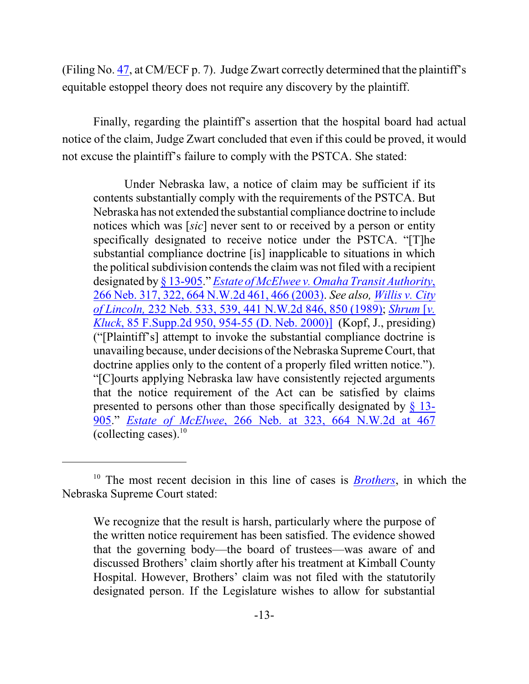(Filing No. [47](http://ecf.ned.uscourts.gov/doc1/11313137738), at CM/ECF p. 7). Judge Zwart correctly determined that the plaintiff's equitable estoppel theory does not require any discovery by the plaintiff.

Finally, regarding the plaintiff's assertion that the hospital board had actual notice of the claim, Judge Zwart concluded that even if this could be proved, it would not excuse the plaintiff's failure to comply with the PSTCA. She stated:

Under Nebraska law, a notice of claim may be sufficient if its contents substantially comply with the requirements of the PSTCA. But Nebraska has not extended the substantial compliance doctrine to include notices which was [*sic*] never sent to or received by a person or entity specifically designated to receive notice under the PSTCA. "[T]he substantial compliance doctrine [is] inapplicable to situations in which the political subdivision contends the claim was not filed with a recipient designated by [§ 13-905](http://web2.westlaw.com/find/default.wl?mt=Westlaw&db=1000257&docname=NESTS13-905&rp=%2ffind%2fdefault.wl&findtype=L&ordoc=2003489017&tc=-1&vr=2.0&fn=_top&sv=Split&tf=-1&pbc=940ACC40&rs=WLW15.01)." *Estate of McElwee [v. Omaha Transit Authority](http://web2.westlaw.com/find/default.wl?cite=664+N.W.2d+466&rs=WLW15.01&pbc=862649DA&vr=2.0&rp=%2ffind%2fdefault.wl&sv=Split&fn=_top&mt=Westlaw)*, [266 Neb. 317, 322, 664 N.W.2d 461, 466 \(2003\)](http://web2.westlaw.com/find/default.wl?cite=664+N.W.2d+466&rs=WLW15.01&pbc=862649DA&vr=2.0&rp=%2ffind%2fdefault.wl&sv=Split&fn=_top&mt=Westlaw). *See also, [Willis v. City](http://web2.westlaw.com/find/default.wl?cite=441+N.W.2d+850+&rs=WLW15.01&pbc=862649DA&vr=2.0&rp=%2ffind%2fdefault.wl&sv=Split&fn=_top&mt=Westlaw) of Lincoln,* [232 Neb. 533, 539, 441 N.W.2d 846, 850 \(1989\)](http://web2.westlaw.com/find/default.wl?cite=441+N.W.2d+850+&rs=WLW15.01&pbc=862649DA&vr=2.0&rp=%2ffind%2fdefault.wl&sv=Split&fn=_top&mt=Westlaw); *[Shrum](http://web2.westlaw.com/find/default.wl?cite=85+F.Supp.2d+954&rs=WLW15.01&pbc=862649DA&vr=2.0&rp=%2ffind%2fdefault.wl&sv=Split&fn=_top&mt=Westlaw)* [*v. Kluck*[, 85 F.Supp.2d 950, 954-55 \(D. Neb. 2000\)\]](http://web2.westlaw.com/find/default.wl?cite=85+F.Supp.2d+954&rs=WLW15.01&pbc=862649DA&vr=2.0&rp=%2ffind%2fdefault.wl&sv=Split&fn=_top&mt=Westlaw) (Kopf, J., presiding) ("[Plaintiff's] attempt to invoke the substantial compliance doctrine is unavailing because, under decisions of the Nebraska SupremeCourt, that doctrine applies only to the content of a properly filed written notice."). "[C]ourts applying Nebraska law have consistently rejected arguments that the notice requirement of the Act can be satisfied by claims presented to persons other than those specifically designated by [§ 13-](http://web2.westlaw.com/find/default.wl?mt=Westlaw&db=1000257&docname=NESTS13-905&rp=%2ffind%2fdefault.wl&findtype=L&ordoc=2003489017&tc=-1&vr=2.0&fn=_top&sv=Split&tf=-1&pbc=494884FD&rs=WLW15.01) [905](http://web2.westlaw.com/find/default.wl?mt=Westlaw&db=1000257&docname=NESTS13-905&rp=%2ffind%2fdefault.wl&findtype=L&ordoc=2003489017&tc=-1&vr=2.0&fn=_top&sv=Split&tf=-1&pbc=494884FD&rs=WLW15.01)." *Estate of McElwee*[, 266 Neb. at 323, 664 N.W.2d at 467](http://web2.westlaw.com/find/default.wl?cite=664+N.W.2d+467+&rs=WLW15.01&pbc=862649DA&vr=2.0&rp=%2ffind%2fdefault.wl&sv=Split&fn=_top&mt=Westlaw) (collecting cases). $10$ 

<sup>10</sup> The most recent decision in this line of cases is *[Brothers](http://web2.westlaw.com/find/default.wl?cite=857+N.W.2d+789&rs=WLW15.01&pbc=862649DA&vr=2.0&rp=%2ffind%2fdefault.wl&sv=Split&fn=_top&mt=Westlaw)*, in which the Nebraska Supreme Court stated:

We recognize that the result is harsh, particularly where the purpose of the written notice requirement has been satisfied. The evidence showed that the governing body—the board of trustees—was aware of and discussed Brothers' claim shortly after his treatment at Kimball County Hospital. However, Brothers' claim was not filed with the statutorily designated person. If the Legislature wishes to allow for substantial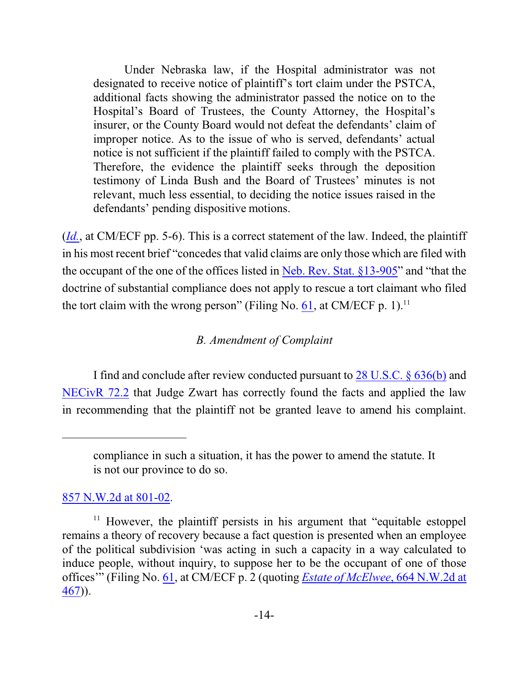Under Nebraska law, if the Hospital administrator was not designated to receive notice of plaintiff's tort claim under the PSTCA, additional facts showing the administrator passed the notice on to the Hospital's Board of Trustees, the County Attorney, the Hospital's insurer, or the County Board would not defeat the defendants' claim of improper notice. As to the issue of who is served, defendants' actual notice is not sufficient if the plaintiff failed to comply with the PSTCA. Therefore, the evidence the plaintiff seeks through the deposition testimony of Linda Bush and the Board of Trustees' minutes is not relevant, much less essential, to deciding the notice issues raised in the defendants' pending dispositive motions.

(*[Id.](http://ecf.ned.uscourts.gov/doc1/11313137738)*, at CM/ECF pp. 5-6). This is a correct statement of the law. Indeed, the plaintiff in his most recent brief "concedes that valid claims are only those which are filed with the occupant of the one of the offices listed in [Neb. Rev. Stat. §13-905](http://web2.westlaw.com/find/default.wl?cite=nestat13-905&rs=WLW15.01&pbc=862649DA&vr=2.0&rp=%2ffind%2fdefault.wl&sv=Split&fn=_top&mt=Westlaw)" and "that the doctrine of substantial compliance does not apply to rescue a tort claimant who filed the tort claim with the wrong person" (Filing No.  $61$ , at CM/ECF p. 1).<sup>11</sup>

## *B. Amendment of Complaint*

I find and conclude after review conducted pursuant to [28 U.S.C. § 636\(b\)](https://web2.westlaw.com/find/default.wl?rs=WLW10.05&ifm=NotSet&fn=_top&sv=Split&cite=28usc636&vr=2.0&rp=%2ffind%2fdefault.wl&mt=Westlaw) and [NECivR](http://www.ned.uscourts.gov/localrules/rules14/NECivR/72.2.pdf) 72.2 that Judge Zwart has correctly found the facts and applied the law in recommending that the plaintiff not be granted leave to amend his complaint.

[857 N.W.2d at 801-02](http://web2.westlaw.com/find/default.wl?cite=857+N.W.2d+801&rs=WLW15.01&pbc=862649DA&vr=2.0&rp=%2ffind%2fdefault.wl&sv=Split&fn=_top&mt=Westlaw).

compliance in such a situation, it has the power to amend the statute. It is not our province to do so.

 $11$  However, the plaintiff persists in his argument that "equitable estoppel" remains a theory of recovery because a fact question is presented when an employee of the political subdivision 'was acting in such a capacity in a way calculated to induce people, without inquiry, to suppose her to be the occupant of one of those offices'" (Filing No. [61](https://ecf.ned.uscourts.gov/doc1/11313219070), at CM/ECF p. 2 (quoting *Estate of McElwee*[, 664 N.W.2d at](http://web2.westlaw.com/find/default.wl?cite=664+N.W.2d+467&rs=WLW15.01&pbc=862649DA&vr=2.0&rp=%2ffind%2fdefault.wl&sv=Split&fn=_top&mt=Westlaw)  $\frac{467}{2}$  $\frac{467}{2}$  $\frac{467}{2}$ .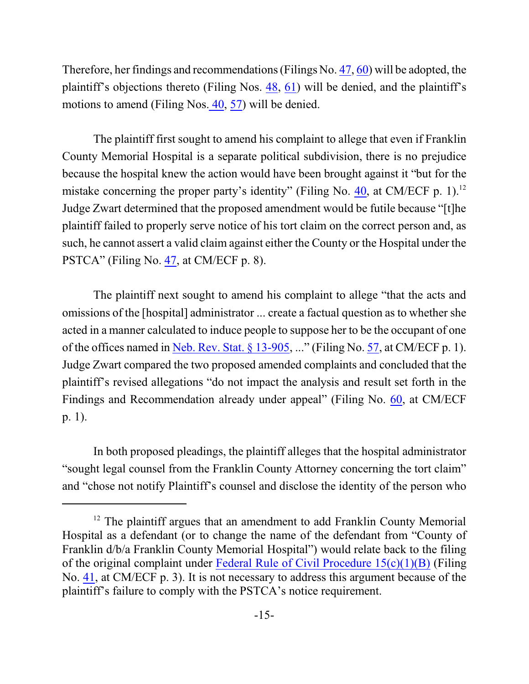Therefore, her findings and recommendations (Filings No. [47](https://ecf.ned.uscourts.gov/doc1/11313137738), [60](https://ecf.ned.uscourts.gov/doc1/11313211949)) will be adopted, the plaintiff's objections thereto (Filing Nos. [48](https://ecf.ned.uscourts.gov/doc1/11313147449), [61](https://ecf.ned.uscourts.gov/doc1/11313219070)) will be denied, and the plaintiff's motions to amend (Filing Nos[. 40](https://ecf.ned.uscourts.gov/doc1/11303086834), [57](https://ecf.ned.uscourts.gov/doc1/11303209124)) will be denied.

The plaintiff first sought to amend his complaint to allege that even if Franklin County Memorial Hospital is a separate political subdivision, there is no prejudice because the hospital knew the action would have been brought against it "but for the mistake concerning the proper party's identity" (Filing No. [40](http://ecf.ned.uscourts.gov/doc1/11313086834), at CM/ECF p. 1).<sup>12</sup> Judge Zwart determined that the proposed amendment would be futile because "[t]he plaintiff failed to properly serve notice of his tort claim on the correct person and, as such, he cannot assert a valid claim against either the County or the Hospital under the PSTCA" (Filing No. [47](http://ecf.ned.uscourts.gov/doc1/11313137738), at CM/ECF p. 8).

The plaintiff next sought to amend his complaint to allege "that the acts and omissions of the [hospital] administrator ... create a factual question as to whether she acted in a manner calculated to induce people to suppose her to be the occupant of one of the offices named in Neb. Rev. Stat.  $\S 13-905$ , ..." (Filing No. [57](http://ecf.ned.uscourts.gov/doc1/11313209124), at CM/ECF p. 1). Judge Zwart compared the two proposed amended complaints and concluded that the plaintiff's revised allegations "do not impact the analysis and result set forth in the Findings and Recommendation already under appeal" (Filing No. [60](http://ecf.ned.uscourts.gov/doc1/11313211949), at CM/ECF p. 1).

In both proposed pleadings, the plaintiff alleges that the hospital administrator "sought legal counsel from the Franklin County Attorney concerning the tort claim" and "chose not notify Plaintiff's counsel and disclose the identity of the person who

<sup>&</sup>lt;sup>12</sup> The plaintiff argues that an amendment to add Franklin County Memorial Hospital as a defendant (or to change the name of the defendant from "County of Franklin d/b/a Franklin County Memorial Hospital") would relate back to the filing of the original complaint under Federal Rule of [Civil Procedure](http://web2.westlaw.com/find/default.wl?cite=fedrcivp15&rs=WLW15.01&pbc=862649DA&vr=2.0&rp=%2ffind%2fdefault.wl&sv=Split&fn=_top&mt=Westlaw) 15(c)(1)(B) (Filing No. [41](https://ecf.ned.uscourts.gov/doc1/11313086838), at CM/ECF p. 3). It is not necessary to address this argument because of the plaintiff's failure to comply with the PSTCA's notice requirement.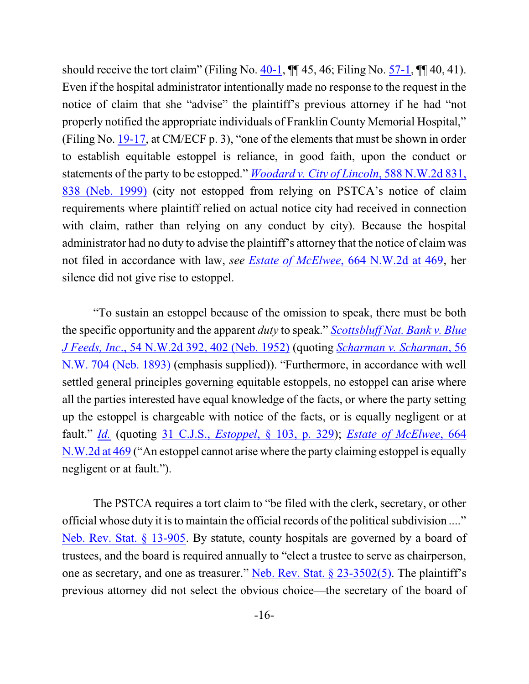should receive the tort claim" (Filing No.  $40-1$ ,  $\P\P$  45, 46; Filing No. [57-1](http://ecf.ned.uscourts.gov/doc1/11313209125),  $\P$  40, 41). Even if the hospital administrator intentionally made no response to the request in the notice of claim that she "advise" the plaintiff's previous attorney if he had "not properly notified the appropriate individuals of Franklin County Memorial Hospital," (Filing No. [19-17](http://ecf.ned.uscourts.gov/doc1/11313056906), at CM/ECF p. 3), "one of the elements that must be shown in order to establish equitable estoppel is reliance, in good faith, upon the conduct or statements of the party to be estopped." *Woodard v. City of Lincoln*[, 588 N.W.2d 831,](http://web2.westlaw.com/find/default.wl?cite=588+N.W.2d+838+&rs=WLW15.01&pbc=862649DA&vr=2.0&rp=%2ffind%2fdefault.wl&sv=Split&fn=_top&mt=Westlaw) [838 \(Neb. 1999\)](http://web2.westlaw.com/find/default.wl?cite=588+N.W.2d+838+&rs=WLW15.01&pbc=862649DA&vr=2.0&rp=%2ffind%2fdefault.wl&sv=Split&fn=_top&mt=Westlaw) (city not estopped from relying on PSTCA's notice of claim requirements where plaintiff relied on actual notice city had received in connection with claim, rather than relying on any conduct by city). Because the hospital administrator had no duty to advise the plaintiff's attorney that the notice of claim was not filed in accordance with law, *see Estate of McElwee*[, 664 N.W.2d at 469](http://web2.westlaw.com/find/default.wl?cite=664+N.W.2d+469&rs=WLW15.01&pbc=862649DA&vr=2.0&rp=%2ffind%2fdefault.wl&sv=Split&fn=_top&mt=Westlaw), her silence did not give rise to estoppel.

"To sustain an estoppel because of the omission to speak, there must be both the specific opportunity and the apparent *duty* to speak." *[Scottsbluff Nat. Bank](http://web2.westlaw.com/find/default.wl?cite=54+N.W.2d+402&rs=WLW15.01&pbc=862649DA&vr=2.0&rp=%2ffind%2fdefault.wl&sv=Split&fn=_top&mt=Westlaw) v. Blue J Feeds, Inc*[., 54 N.W.2d 392, 402 \(Neb. 1952\)](http://web2.westlaw.com/find/default.wl?cite=54+N.W.2d+402&rs=WLW15.01&pbc=862649DA&vr=2.0&rp=%2ffind%2fdefault.wl&sv=Split&fn=_top&mt=Westlaw) (quoting *[Scharman v. Scharman](http://web2.westlaw.com/find/default.wl?mt=Westlaw&db=594&tc=-1&rp=%2ffind%2fdefault.wl&findtype=Y&ordoc=1952106008&serialnum=1893005178&vr=2.0&fn=_top&sv=Split&tf=-1&pbc=C4E4818D&rs=WLW15.01)*, 56 [N.W. 704 \(Neb. 1893\)](http://web2.westlaw.com/find/default.wl?mt=Westlaw&db=594&tc=-1&rp=%2ffind%2fdefault.wl&findtype=Y&ordoc=1952106008&serialnum=1893005178&vr=2.0&fn=_top&sv=Split&tf=-1&pbc=C4E4818D&rs=WLW15.01) (emphasis supplied)). "Furthermore, in accordance with well settled general principles governing equitable estoppels, no estoppel can arise where all the parties interested have equal knowledge of the facts, or where the party setting up the estoppel is chargeable with notice of the facts, or is equally negligent or at fault." *[Id.](http://web2.westlaw.com/find/default.wl?cite=54+N.W.2d+402&rs=WLW15.01&pbc=862649DA&vr=2.0&rp=%2ffind%2fdefault.wl&sv=Split&fn=_top&mt=Westlaw)* (quoting 31 C.J.S., *Estoppel*[, § 103, p. 329](http://web2.westlaw.com/find/default.wl?mt=Westlaw&db=0156788&tc=-1&rp=%2ffind%2fdefault.wl&findtype=Y&ordoc=1952106008&serialnum=0289574350&vr=2.0&fn=_top&sv=Split&tf=-1&pbc=C4E4818D&rs=WLW15.01)); *Estate [of McElwee](http://web2.westlaw.com/find/default.wl?cite=664+N.W.2d+469&rs=WLW15.01&pbc=862649DA&vr=2.0&rp=%2ffind%2fdefault.wl&sv=Split&fn=_top&mt=Westlaw)*, 664 [N.W.2d at 469](http://web2.westlaw.com/find/default.wl?cite=664+N.W.2d+469&rs=WLW15.01&pbc=862649DA&vr=2.0&rp=%2ffind%2fdefault.wl&sv=Split&fn=_top&mt=Westlaw) ("An estoppel cannot arise where the party claiming estoppel is equally negligent or at fault.").

The PSTCA requires a tort claim to "be filed with the clerk, secretary, or other official whose duty it is to maintain the official records of the political subdivision ...." [Neb. Rev. Stat. § 13-905](http://web2.westlaw.com/find/default.wl?cite=+Neb.+Rev.+Stat.+%c2%a7+13-905&rs=WLW15.01&pbc=862649DA&vr=2.0&rp=%2ffind%2fdefault.wl&sv=Split&fn=_top&mt=Westlaw). By statute, county hospitals are governed by a board of trustees, and the board is required annually to "elect a trustee to serve as chairperson, one as secretary, and one as treasurer." [Neb. Rev. Stat. § 23-3502\(5\)](http://web2.westlaw.com/find/default.wl?cite=Neb.+Rev.+Stat.+%c2%a7+23-3502(5)&rs=WLW15.01&pbc=862649DA&vr=2.0&rp=%2ffind%2fdefault.wl&sv=Split&fn=_top&mt=Westlaw). The plaintiff's previous attorney did not select the obvious choice—the secretary of the board of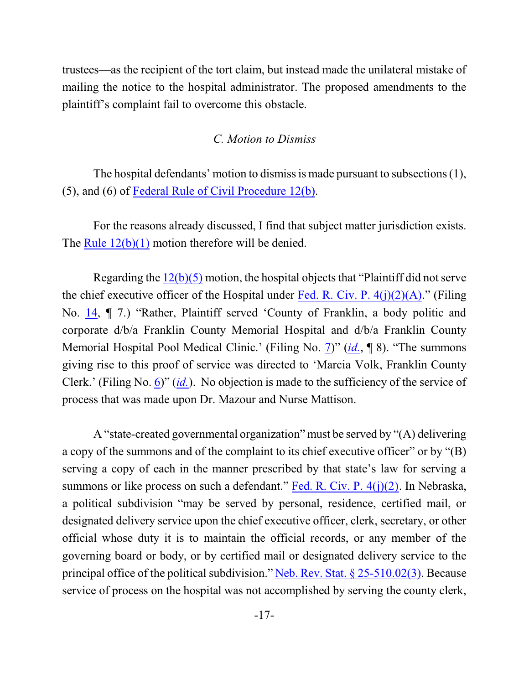trustees—as the recipient of the tort claim, but instead made the unilateral mistake of mailing the notice to the hospital administrator. The proposed amendments to the plaintiff's complaint fail to overcome this obstacle.

## *C. Motion to Dismiss*

The hospital defendants' motion to dismiss is made pursuant to subsections (1), (5), and (6) of [Federal Rule of Civil Procedure 12\(b\)](http://web2.westlaw.com/result/result.aspx?ss=CNT&mt=Westlaw&n=1&cnt=DOC&rlt=CLID_FQRLT66162533315123&scxt=WL&service=Find&fmqv=c&rp=%2fFind%2fdefault.wl&vr=2.0&rlti=1&sv=Split&fn=_top&cite=fedrcivp12&rs=WLW15.01).

For the reasons already discussed, I find that subject matter jurisdiction exists. The Rule  $12(b)(1)$  motion therefore will be denied.

Regarding the [12\(b\)\(5\)](http://web2.westlaw.com/result/result.aspx?ss=CNT&mt=Westlaw&n=1&cnt=DOC&rlt=CLID_FQRLT66162533315123&scxt=WL&service=Find&fmqv=c&rp=%2fFind%2fdefault.wl&vr=2.0&rlti=1&sv=Split&fn=_top&cite=fedrcivp12&rs=WLW15.01) motion, the hospital objects that "Plaintiff did not serve the chief executive officer of the Hospital under Fed. R. Civ. P.  $4(j)(2)(A)$ ." (Filing No. [14](http://ecf.ned.uscourts.gov/doc1/11313054156), ¶ 7.) "Rather, Plaintiff served 'County of Franklin, a body politic and corporate d/b/a Franklin County Memorial Hospital and d/b/a Franklin County Memorial Hospital Pool Medical Clinic.' (Filing No. [7](http://ecf.ned.uscourts.gov/doc1/11313021739))" (*[id.](http://ecf.ned.uscourts.gov/doc1/11313054156)*, ¶ 8). "The summons giving rise to this proof of service was directed to 'Marcia Volk, Franklin County Clerk.' (Filing No. [6](http://ecf.ned.uscourts.gov/doc1/11313019165))" (*[id.](http://ecf.ned.uscourts.gov/doc1/11313054156)*). No objection is made to the sufficiency of the service of process that was made upon Dr. Mazour and Nurse Mattison.

A "state-created governmental organization" must be served by "(A) delivering a copy of the summons and of the complaint to its chief executive officer" or by "(B) serving a copy of each in the manner prescribed by that state's law for serving a summons or like process on such a defendant." Fed. [R. Civ. P.](http://web2.westlaw.com/result/result.aspx?fn=_top&rp=%2fFind%2fdefault.wl&cnt=DOC&rs=WLW15.01&scxt=WL&service=Find&cite=fedrcivp4&rlt=CLID_FQRLT9683191716123&n=1&fmqv=c&vr=2.0&rlti=1&sv=Split&mt=Westlaw&ss=CNT&pbc=862649DA)  $4(j)(2)$ . In Nebraska, a political subdivision "may be served by personal, residence, certified mail, or designated delivery service upon the chief executive officer, clerk, secretary, or other official whose duty it is to maintain the official records, or any member of the governing board or body, or by certified mail or designated delivery service to the principal office of the political subdivision." [Neb. Rev. Stat. § 25-510.02\(3\)](http://web2.westlaw.com/find/default.wl?cite=Neb.+Rev.+Stat.+%c2%a7+25-510.02&rs=WLW15.01&pbc=862649DA&vr=2.0&rp=%2ffind%2fdefault.wl&sv=Split&fn=_top&mt=Westlaw). Because service of process on the hospital was not accomplished by serving the county clerk,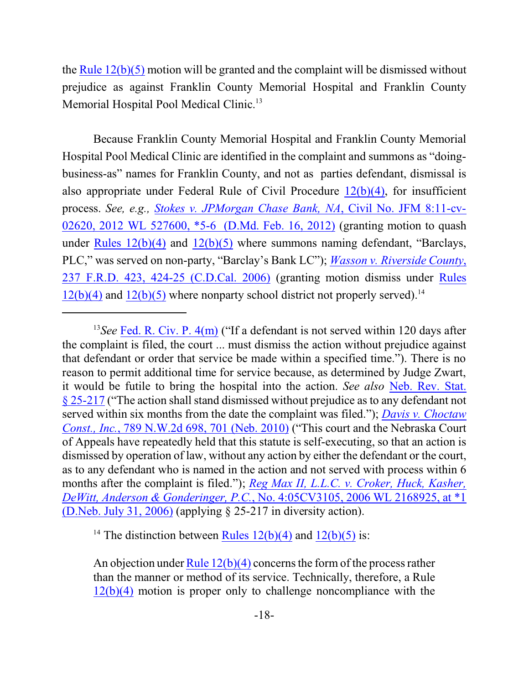the Rule [12\(b\)\(5\)](http://web2.westlaw.com/result/result.aspx?ss=CNT&mt=Westlaw&n=1&cnt=DOC&rlt=CLID_FQRLT66162533315123&scxt=WL&service=Find&fmqv=c&rp=%2fFind%2fdefault.wl&vr=2.0&rlti=1&sv=Split&fn=_top&cite=fedrcivp12&rs=WLW15.01) motion will be granted and the complaint will be dismissed without prejudice as against Franklin County Memorial Hospital and Franklin County Memorial Hospital Pool Medical Clinic.<sup>13</sup>

Because Franklin County Memorial Hospital and Franklin County Memorial Hospital Pool Medical Clinic are identified in the complaint and summons as "doingbusiness-as" names for Franklin County, and not as parties defendant, dismissal is also appropriate under Federal Rule of Civil Procedure  $12(b)(4)$ , for insufficient process. *See, e.g., Stokes [v. JPMorgan Chase Bank,](http://web2.westlaw.com/find/default.wl?cite=2012+WL+527600&rs=WLW15.01&pbc=862649DA&vr=2.0&rp=%2ffind%2fdefault.wl&sv=Split&fn=_top&mt=Westlaw) NA*, Civil No. JFM 8:11-cv-02620, 2012 WL [527600, \\*5-6 \(D.Md. Feb. 16, 2012\)](http://web2.westlaw.com/find/default.wl?cite=2012+WL+527600&rs=WLW15.01&pbc=862649DA&vr=2.0&rp=%2ffind%2fdefault.wl&sv=Split&fn=_top&mt=Westlaw) (granting motion to quash under Rules  $12(b)(4)$  and  $12(b)(5)$  where summons naming defendant, "Barclays, PLC," was served on non-party, "Barclay's Bank LC"); *[Wasson v. Riverside](http://web2.westlaw.com/find/default.wl?cite=237+F.R.D.+424&rs=WLW15.01&pbc=862649DA&vr=2.0&rp=%2ffind%2fdefault.wl&sv=Split&fn=_top&mt=Westlaw) County*, 237 [F.R.D. 423, 424-25 \(C.D.Cal. 2006\)](http://web2.westlaw.com/find/default.wl?cite=237+F.R.D.+424&rs=WLW15.01&pbc=862649DA&vr=2.0&rp=%2ffind%2fdefault.wl&sv=Split&fn=_top&mt=Westlaw) (granting motion dismiss under [Rules](http://web2.westlaw.com/result/result.aspx?ss=CNT&mt=Westlaw&n=1&cnt=DOC&rlt=CLID_FQRLT66162533315123&scxt=WL&service=Find&fmqv=c&rp=%2fFind%2fdefault.wl&vr=2.0&rlti=1&sv=Split&fn=_top&cite=fedrcivp12&rs=WLW15.01)  $12(b)(4)$  and  $12(b)(5)$  where nonparty school district not properly served).<sup>14</sup>

<sup>14</sup> The distinction between  $\frac{\text{Rules } 12(b)(4)}{\text{ and } 12(b)(5)}$  $\frac{\text{Rules } 12(b)(4)}{\text{ and } 12(b)(5)}$  $\frac{\text{Rules } 12(b)(4)}{\text{ and } 12(b)(5)}$  is:

An objection under Rule  $12(b)(4)$  concerns the form of the process rather than the manner or method of its service. Technically, therefore, a Rule  $12(b)(4)$  motion is proper only to challenge noncompliance with the

<sup>&</sup>lt;sup>13</sup>See **Fed. [R. Civ. P. 4\(m\)](http://web2.westlaw.com/find/default.wl?cite=fedrcivp4&rs=WLW15.01&pbc=A3D852A5&vr=2.0&rp=%2ffind%2fdefault.wl&sv=Split&fn=_top&mt=Westlaw)** ("If a defendant is not served within 120 days after the complaint is filed, the court ... must dismiss the action without prejudice against that defendant or order that service be made within a specified time."). There is no reason to permit additional time for service because, as determined by Judge Zwart, it would be futile to bring the hospital into the action. *See also* [Neb. Rev. Stat.](http://web2.westlaw.com/find/default.wl?cite=Neb.+Rev.+Stat.+%c2%a7+25-217&rs=WLW15.01&pbc=A3D852A5&vr=2.0&rp=%2ffind%2fdefault.wl&sv=Split&fn=_top&mt=Westlaw) [§ 25-217](http://web2.westlaw.com/find/default.wl?cite=Neb.+Rev.+Stat.+%c2%a7+25-217&rs=WLW15.01&pbc=A3D852A5&vr=2.0&rp=%2ffind%2fdefault.wl&sv=Split&fn=_top&mt=Westlaw) ("The action shall stand dismissed without prejudice as to any defendant not served within six months from the date the complaint was filed."); *[Davis v. Choctaw](http://web2.westlaw.com/find/default.wl?cite=789+N.W.2d+701&rs=WLW15.01&pbc=A3D852A5&vr=2.0&rp=%2ffind%2fdefault.wl&sv=Split&fn=_top&mt=Westlaw) Const., Inc.*[, 789 N.W.2d 698, 701 \(Neb. 2010\)](http://web2.westlaw.com/find/default.wl?cite=789+N.W.2d+701&rs=WLW15.01&pbc=A3D852A5&vr=2.0&rp=%2ffind%2fdefault.wl&sv=Split&fn=_top&mt=Westlaw) ("This court and the Nebraska Court of Appeals have repeatedly held that this statute is self-executing, so that an action is dismissed by operation of law, without any action by either the defendant or the court, as to any defendant who is named in the action and not served with process within 6 months after the complaint is filed."); *Reg Max II, L.L.C. v. [Croker, Huck, Kasher,](http://web2.westlaw.com/find/default.wl?cite=2006+WL+2168925&rs=WLW15.01&pbc=A3D852A5&vr=2.0&rp=%2ffind%2fdefault.wl&sv=Split&fn=_top&mt=Westlaw) DeWitt, Anderson & Gonderinger, P.C.*[, No. 4:05CV3105, 2006 WL 2168925, at \\*1](http://web2.westlaw.com/find/default.wl?cite=2006+WL+2168925&rs=WLW15.01&pbc=A3D852A5&vr=2.0&rp=%2ffind%2fdefault.wl&sv=Split&fn=_top&mt=Westlaw) [\(D.Neb. July 31, 2006\)](http://web2.westlaw.com/find/default.wl?cite=2006+WL+2168925&rs=WLW15.01&pbc=A3D852A5&vr=2.0&rp=%2ffind%2fdefault.wl&sv=Split&fn=_top&mt=Westlaw) (applying § 25-217 in diversity action).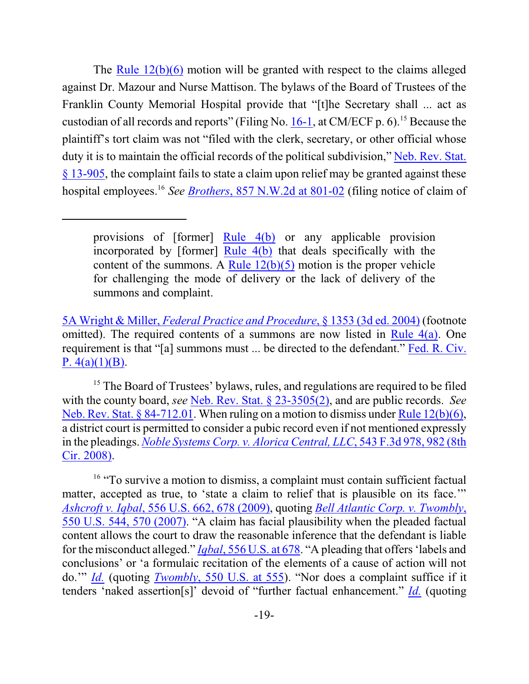The [Rule 12\(b\)\(6\)](http://web2.westlaw.com/result/result.aspx?ss=CNT&mt=Westlaw&n=1&cnt=DOC&rlt=CLID_FQRLT66162533315123&scxt=WL&service=Find&fmqv=c&rp=%2fFind%2fdefault.wl&vr=2.0&rlti=1&sv=Split&fn=_top&cite=fedrcivp12&rs=WLW15.01) motion will be granted with respect to the claims alleged against Dr. Mazour and Nurse Mattison. The bylaws of the Board of Trustees of the Franklin County Memorial Hospital provide that "[t]he Secretary shall ... act as custodian of all records and reports" (Filing No.  $16-1$ , at CM/ECF p. 6).<sup>15</sup> Because the plaintiff's tort claim was not "filed with the clerk, secretary, or other official whose duty it is to maintain the official records of the political subdivision," [Neb. Rev. Stat.](http://web2.westlaw.com/find/default.wl?cite=nestat13-905&rs=WLW15.01&pbc=862649DA&vr=2.0&rp=%2ffind%2fdefault.wl&sv=Split&fn=_top&mt=Westlaw) [§ 13-905](http://web2.westlaw.com/find/default.wl?cite=nestat13-905&rs=WLW15.01&pbc=862649DA&vr=2.0&rp=%2ffind%2fdefault.wl&sv=Split&fn=_top&mt=Westlaw), the complaint fails to state a claim upon relief may be granted against these hospital employees. 16 *See Brothers*, [857 N.W.2d at 801-02](http://web2.westlaw.com/find/default.wl?cite=857+N.W.2d+801&rs=WLW15.01&pbc=862649DA&vr=2.0&rp=%2ffind%2fdefault.wl&sv=Split&fn=_top&mt=Westlaw) (filing notice of claim of

provisions of [former] [Rule](http://web2.westlaw.com/result/result.aspx?fn=_top&rp=%2fFind%2fdefault.wl&cnt=DOC&rs=WLW15.01&scxt=WL&service=Find&cite=fedrcivp4&rlt=CLID_FQRLT85841492016123&n=1&fmqv=c&vr=2.0&rlti=1&sv=Split&mt=Westlaw&ss=CNT&pbc=862649DA) 4(b) or any applicable provision incorporated by [former] [Rule](http://web2.westlaw.com/result/result.aspx?fn=_top&rp=%2fFind%2fdefault.wl&cnt=DOC&rs=WLW15.01&scxt=WL&service=Find&cite=fedrcivp4&rlt=CLID_FQRLT85841492016123&n=1&fmqv=c&vr=2.0&rlti=1&sv=Split&mt=Westlaw&ss=CNT&pbc=862649DA) 4(b) that deals specifically with the content of the summons. A Rule  $12(b)(5)$  motion is the proper vehicle for challenging the mode of delivery or the lack of delivery of the summons and complaint.

<sup>5</sup>A Wright & Miller, *Federal Practice and Procedure*[, § 1353 \(3d ed. 2004\)](http://web2.westlaw.com/find/default.wl?cite=fpp1353&rs=WLW15.01&pbc=862649DA&vr=2.0&rp=%2ffind%2fdefault.wl&sv=Split&fn=_top&mt=Westlaw) (footnote omitted). The required contents of a summons are now listed in [Rule](http://web2.westlaw.com/result/result.aspx?fn=_top&rp=%2fFind%2fdefault.wl&cnt=DOC&rs=WLW15.01&scxt=WL&service=Find&cite=fedrcivp4&rlt=CLID_FQRLT85841492016123&n=1&fmqv=c&vr=2.0&rlti=1&sv=Split&mt=Westlaw&ss=CNT&pbc=862649DA) 4(a). One requirement is that "[a] summons must ... be directed to the defendant." [Fed. R. Civ.](http://web2.westlaw.com/result/result.aspx?fn=_top&rp=%2fFind%2fdefault.wl&cnt=DOC&rs=WLW15.01&scxt=WL&service=Find&cite=fedrcivp4&rlt=CLID_FQRLT85841492016123&n=1&fmqv=c&vr=2.0&rlti=1&sv=Split&mt=Westlaw&ss=CNT&pbc=862649DA) P.  $4(a)(1)(B)$ .

<sup>&</sup>lt;sup>15</sup> The Board of Trustees' bylaws, rules, and regulations are required to be filed with the county board, *see* [Neb. Rev. Stat. § 23-3505\(2\)](http://web2.westlaw.com/find/default.wl?cite=Neb.+Rev.+Stat.+%c2%a7+23-3505&rs=WLW15.01&pbc=862649DA&vr=2.0&rp=%2ffind%2fdefault.wl&sv=Split&fn=_top&mt=Westlaw), and are public records. *See* [Neb. Rev. Stat. § 84-712.01](http://web2.westlaw.com/find/default.wl?cite=+Neb.+Rev.+Stat.+%c2%a7+84-712.01&rs=WLW15.01&pbc=862649DA&vr=2.0&rp=%2ffind%2fdefault.wl&sv=Split&fn=_top&mt=Westlaw). When ruling on a motion to dismiss under Rule [12\(b\)\(6\)](http://web2.westlaw.com/result/result.aspx?ss=CNT&mt=Westlaw&n=1&cnt=DOC&rlt=CLID_FQRLT66162533315123&scxt=WL&service=Find&fmqv=c&rp=%2fFind%2fdefault.wl&vr=2.0&rlti=1&sv=Split&fn=_top&cite=fedrcivp12&rs=WLW15.01), a district court is permitted to consider a pubic record even if not mentioned expressly in the pleadings. *Noble [Systems Corp. v. Alorica](http://web2.westlaw.com/find/default.wl?cite=543+F.3d+982+&rs=WLW15.01&pbc=862649DA&vr=2.0&rp=%2ffind%2fdefault.wl&sv=Split&fn=_top&mt=Westlaw) Central, LLC*, 543 F.3d 978, 982 (8th [Cir. 2008\)](http://web2.westlaw.com/find/default.wl?cite=543+F.3d+982+&rs=WLW15.01&pbc=862649DA&vr=2.0&rp=%2ffind%2fdefault.wl&sv=Split&fn=_top&mt=Westlaw).

<sup>&</sup>lt;sup>16</sup> "To survive a motion to dismiss, a complaint must contain sufficient factual matter, accepted as true, to 'state a claim to relief that is plausible on its face.'" *Ashcroft v. Iqbal*[, 556 U.S. 662, 678 \(2009\)](https://web2.westlaw.com/find/default.wl?mt=Westlaw&db=708&tc=-1&rp=%2ffind%2fdefault.wl&findtype=Y&ordoc=2032978410&serialnum=2018848474&vr=2.0&fn=_top&sv=Split&tf=-1&pbc=AAA397D4&rs=WLW14.10), quoting *[Bell Atlantic](https://web2.westlaw.com/find/default.wl?mt=Westlaw&db=708&tc=-1&rp=%2ffind%2fdefault.wl&findtype=Y&ordoc=2032978410&serialnum=2012293296&vr=2.0&fn=_top&sv=Split&tf=-1&pbc=AAA397D4&rs=WLW14.10) Corp. v. Twombly*, [550 U.S. 544, 570 \(2007\)](https://web2.westlaw.com/find/default.wl?mt=Westlaw&db=708&tc=-1&rp=%2ffind%2fdefault.wl&findtype=Y&ordoc=2032978410&serialnum=2012293296&vr=2.0&fn=_top&sv=Split&tf=-1&pbc=AAA397D4&rs=WLW14.10). "A claim has facial plausibility when the pleaded factual content allows the court to draw the reasonable inference that the defendant is liable for the misconduct alleged." *Iqbal*[, 556 U.S. at 678](https://web2.westlaw.com/find/default.wl?mt=Westlaw&db=708&tc=-1&rp=%2ffind%2fdefault.wl&findtype=Y&ordoc=2032978410&serialnum=2018848474&vr=2.0&fn=_top&sv=Split&tf=-1&pbc=AAA397D4&rs=WLW14.10). "A pleading that offers 'labels and conclusions' or 'a formulaic recitation of the elements of a cause of action will not do.'" *[Id.](https://web2.westlaw.com/find/default.wl?mt=Westlaw&db=708&tc=-1&rp=%2ffind%2fdefault.wl&findtype=Y&ordoc=2032978410&serialnum=2018848474&vr=2.0&fn=_top&sv=Split&tf=-1&pbc=AAA397D4&rs=WLW14.10)* (quoting *Twombly*[, 550 U.S. at 555](https://web2.westlaw.com/find/default.wl?mt=Westlaw&db=708&tc=-1&rp=%2ffind%2fdefault.wl&findtype=Y&ordoc=2032978410&serialnum=2012293296&vr=2.0&fn=_top&sv=Split&tf=-1&pbc=AAA397D4&rs=WLW14.10)). "Nor does a complaint suffice if it tenders 'naked assertion[s]' devoid of "further factual enhancement." *[Id.](https://web2.westlaw.com/find/default.wl?rs=WLW14.10&pbc=AAA397D4&vr=2.0&findtype=Y&rp=%2ffind%2fdefault.wl&sv=Split&fn=_top&tf=-1&ordoc=2032978410&mt=Westlaw&serialnum=2018848474&tc=-1)* (quoting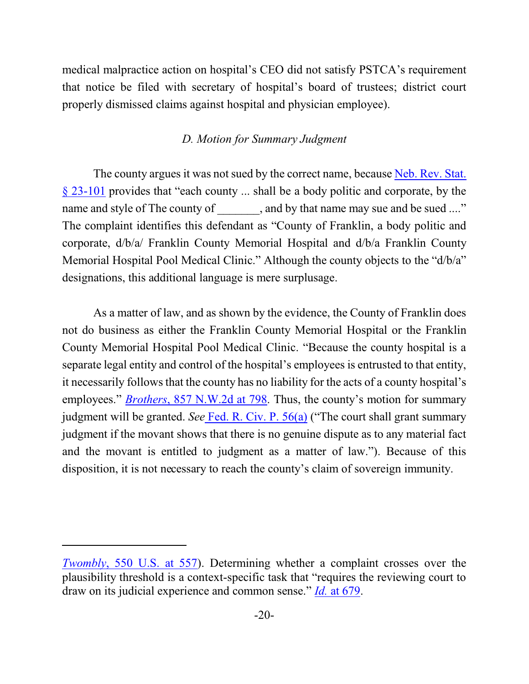medical malpractice action on hospital's CEO did not satisfy PSTCA's requirement that notice be filed with secretary of hospital's board of trustees; district court properly dismissed claims against hospital and physician employee).

## *D. Motion for Summary Judgment*

The county argues it was not sued by the correct name, because [Neb. Rev. Stat.](http://web2.westlaw.com/find/default.wl?cite=Neb.+Rev.+Stat.+%c2%a7+23-101&rs=WLW15.01&pbc=862649DA&vr=2.0&rp=%2ffind%2fdefault.wl&sv=Split&fn=_top&mt=Westlaw) [§ 23-101](http://web2.westlaw.com/find/default.wl?cite=Neb.+Rev.+Stat.+%c2%a7+23-101&rs=WLW15.01&pbc=862649DA&vr=2.0&rp=%2ffind%2fdefault.wl&sv=Split&fn=_top&mt=Westlaw) provides that "each county ... shall be a body politic and corporate, by the name and style of The county of , and by that name may sue and be sued ...." The complaint identifies this defendant as "County of Franklin, a body politic and corporate, d/b/a/ Franklin County Memorial Hospital and d/b/a Franklin County Memorial Hospital Pool Medical Clinic." Although the county objects to the "d/b/a" designations, this additional language is mere surplusage.

As a matter of law, and as shown by the evidence, the County of Franklin does not do business as either the Franklin County Memorial Hospital or the Franklin County Memorial Hospital Pool Medical Clinic. "Because the county hospital is a separate legal entity and control of the hospital's employees is entrusted to that entity, it necessarily follows that the county has no liability for the acts of a county hospital's employees." *Brothers*[, 857 N.W.2d at 798](http://web2.westlaw.com/find/default.wl?cite=857+N.W.2d+798&rs=WLW15.01&pbc=862649DA&vr=2.0&rp=%2ffind%2fdefault.wl&sv=Split&fn=_top&mt=Westlaw). Thus, the county's motion for summary judgment will be granted. *See* [Fed. R. Civ. P. 56\(a\)](http://web2.westlaw.com/result/result.aspx?fn=_top&rp=%2fFind%2fdefault.wl&cnt=DOC&rs=WLW15.01&scxt=WL&service=Find&cite=fedrcivp56&rlt=CLID_FQRLT1064322516123&n=1&fmqv=c&vr=2.0&rlti=1&sv=Split&mt=Westlaw&ss=CNT&pbc=862649DA) ("The court shall grant summary judgment if the movant shows that there is no genuine dispute as to any material fact and the movant is entitled to judgment as a matter of law."). Because of this disposition, it is not necessary to reach the county's claim of sovereign immunity.

*Twombly*[, 550 U.S. at 557](https://web2.westlaw.com/find/default.wl?mt=Westlaw&db=708&tc=-1&rp=%2ffind%2fdefault.wl&findtype=Y&ordoc=2032978410&serialnum=2012293296&vr=2.0&fn=_top&sv=Split&tf=-1&pbc=AAA397D4&rs=WLW14.10)). Determining whether a complaint crosses over the plausibility threshold is a context-specific task that "requires the reviewing court to draw on its judicial experience and common sense." *Id.* [at 679](https://web2.westlaw.com/find/default.wl?mt=Westlaw&db=708&tc=-1&rp=%2ffind%2fdefault.wl&findtype=Y&ordoc=2032978410&serialnum=2018848474&vr=2.0&fn=_top&sv=Split&tf=-1&pbc=AAA397D4&rs=WLW14.10).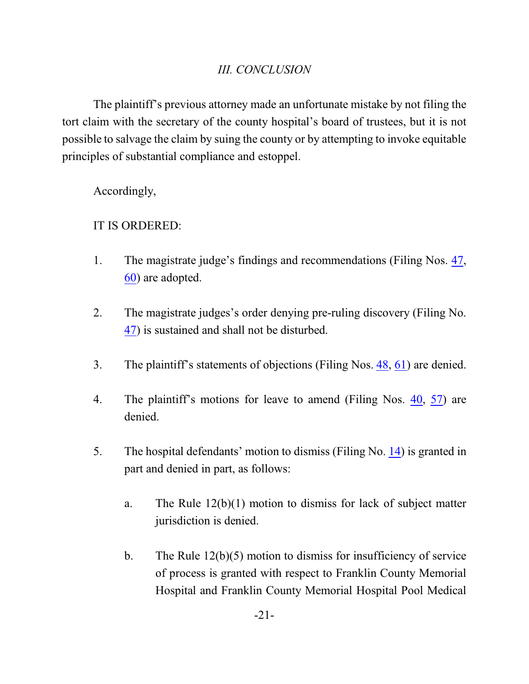# *III. CONCLUSION*

The plaintiff's previous attorney made an unfortunate mistake by not filing the tort claim with the secretary of the county hospital's board of trustees, but it is not possible to salvage the claim by suing the county or by attempting to invoke equitable principles of substantial compliance and estoppel.

Accordingly,

# IT IS ORDERED:

- 1. The magistrate judge's findings and recommendations (Filing Nos. [47](https://ecf.ned.uscourts.gov/doc1/11313137738), [60](https://ecf.ned.uscourts.gov/doc1/11313211949)) are adopted.
- 2. The magistrate judges's order denying pre-ruling discovery (Filing No. [47](https://ecf.ned.uscourts.gov/doc1/11313137738)) is sustained and shall not be disturbed.
- 3. The plaintiff's statements of objections (Filing Nos. [48](https://ecf.ned.uscourts.gov/doc1/11313147449), [61](https://ecf.ned.uscourts.gov/doc1/11313219070)) are denied.
- 4. The plaintiff's motions for leave to amend (Filing Nos. [40](https://ecf.ned.uscourts.gov/doc1/11303086834), [57](https://ecf.ned.uscourts.gov/doc1/11303209124)) are denied.
- 5. The hospital defendants' motion to dismiss (Filing No. [14](http://ecf.ned.uscourts.gov/doc1/11313054156)) is granted in part and denied in part, as follows:
	- a. The Rule 12(b)(1) motion to dismiss for lack of subject matter jurisdiction is denied.
	- b. The Rule 12(b)(5) motion to dismiss for insufficiency of service of process is granted with respect to Franklin County Memorial Hospital and Franklin County Memorial Hospital Pool Medical